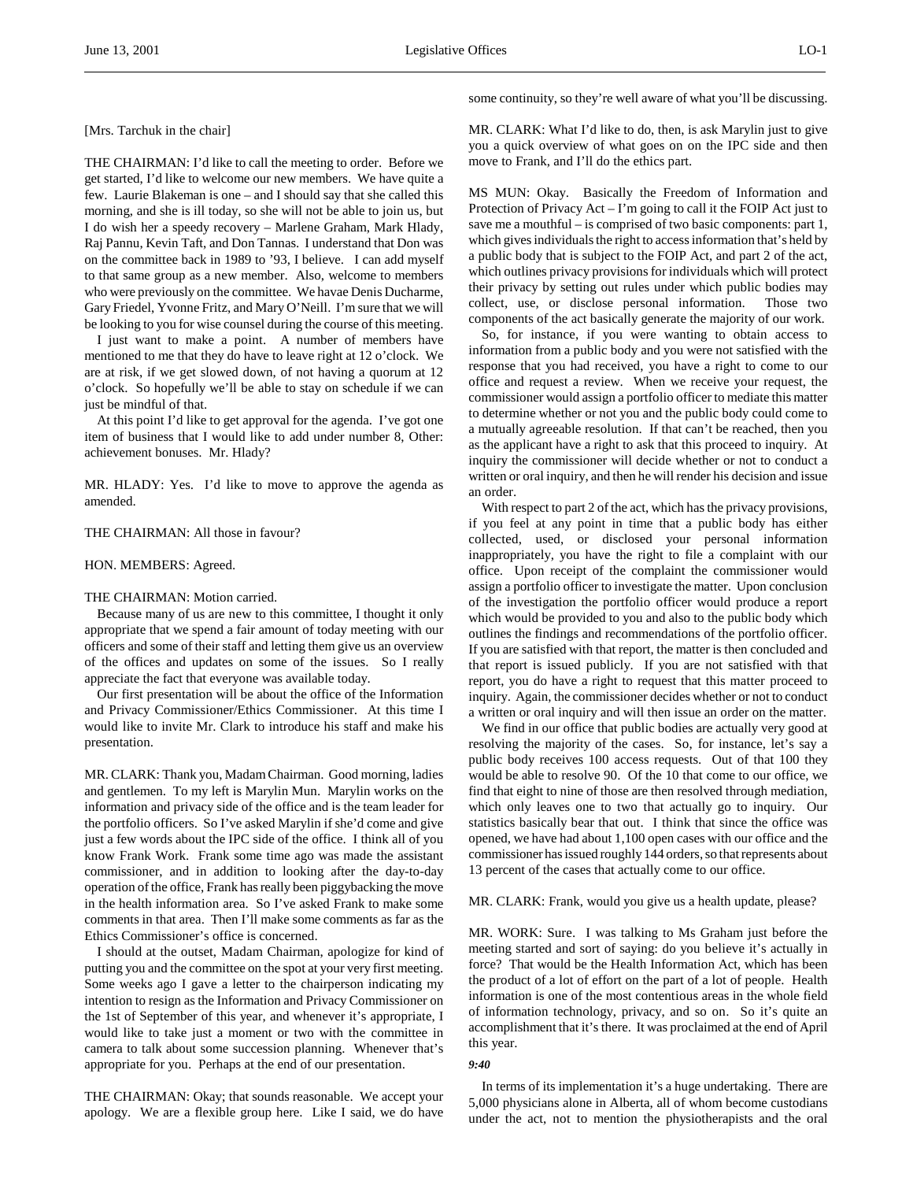[Mrs. Tarchuk in the chair]

THE CHAIRMAN: I'd like to call the meeting to order. Before we get started, I'd like to welcome our new members. We have quite a few. Laurie Blakeman is one – and I should say that she called this morning, and she is ill today, so she will not be able to join us, but I do wish her a speedy recovery – Marlene Graham, Mark Hlady, Raj Pannu, Kevin Taft, and Don Tannas. I understand that Don was on the committee back in 1989 to '93, I believe. I can add myself to that same group as a new member. Also, welcome to members who were previously on the committee. We havae Denis Ducharme, Gary Friedel, Yvonne Fritz, and Mary O'Neill. I'm sure that we will be looking to you for wise counsel during the course of this meeting.

I just want to make a point. A number of members have mentioned to me that they do have to leave right at 12 o'clock. We are at risk, if we get slowed down, of not having a quorum at 12 o'clock. So hopefully we'll be able to stay on schedule if we can just be mindful of that.

At this point I'd like to get approval for the agenda. I've got one item of business that I would like to add under number 8, Other: achievement bonuses. Mr. Hlady?

MR. HLADY: Yes. I'd like to move to approve the agenda as amended.

### THE CHAIRMAN: All those in favour?

#### HON. MEMBERS: Agreed.

### THE CHAIRMAN: Motion carried.

Because many of us are new to this committee, I thought it only appropriate that we spend a fair amount of today meeting with our officers and some of their staff and letting them give us an overview of the offices and updates on some of the issues. So I really appreciate the fact that everyone was available today.

Our first presentation will be about the office of the Information and Privacy Commissioner/Ethics Commissioner. At this time I would like to invite Mr. Clark to introduce his staff and make his presentation.

MR. CLARK: Thank you, Madam Chairman. Good morning, ladies and gentlemen. To my left is Marylin Mun. Marylin works on the information and privacy side of the office and is the team leader for the portfolio officers. So I've asked Marylin if she'd come and give just a few words about the IPC side of the office. I think all of you know Frank Work. Frank some time ago was made the assistant commissioner, and in addition to looking after the day-to-day operation of the office, Frank has really been piggybacking the move in the health information area. So I've asked Frank to make some comments in that area. Then I'll make some comments as far as the Ethics Commissioner's office is concerned.

I should at the outset, Madam Chairman, apologize for kind of putting you and the committee on the spot at your very first meeting. Some weeks ago I gave a letter to the chairperson indicating my intention to resign as the Information and Privacy Commissioner on the 1st of September of this year, and whenever it's appropriate, I would like to take just a moment or two with the committee in camera to talk about some succession planning. Whenever that's appropriate for you. Perhaps at the end of our presentation.

THE CHAIRMAN: Okay; that sounds reasonable. We accept your apology. We are a flexible group here. Like I said, we do have some continuity, so they're well aware of what you'll be discussing.

MR. CLARK: What I'd like to do, then, is ask Marylin just to give you a quick overview of what goes on on the IPC side and then move to Frank, and I'll do the ethics part.

MS MUN: Okay. Basically the Freedom of Information and Protection of Privacy Act – I'm going to call it the FOIP Act just to save me a mouthful – is comprised of two basic components: part 1, which gives individuals the right to access information that's held by a public body that is subject to the FOIP Act, and part 2 of the act, which outlines privacy provisions for individuals which will protect their privacy by setting out rules under which public bodies may collect, use, or disclose personal information. Those two components of the act basically generate the majority of our work.

So, for instance, if you were wanting to obtain access to information from a public body and you were not satisfied with the response that you had received, you have a right to come to our office and request a review. When we receive your request, the commissioner would assign a portfolio officer to mediate this matter to determine whether or not you and the public body could come to a mutually agreeable resolution. If that can't be reached, then you as the applicant have a right to ask that this proceed to inquiry. At inquiry the commissioner will decide whether or not to conduct a written or oral inquiry, and then he will render his decision and issue an order.

With respect to part 2 of the act, which has the privacy provisions, if you feel at any point in time that a public body has either collected, used, or disclosed your personal information inappropriately, you have the right to file a complaint with our office. Upon receipt of the complaint the commissioner would assign a portfolio officer to investigate the matter. Upon conclusion of the investigation the portfolio officer would produce a report which would be provided to you and also to the public body which outlines the findings and recommendations of the portfolio officer. If you are satisfied with that report, the matter is then concluded and that report is issued publicly. If you are not satisfied with that report, you do have a right to request that this matter proceed to inquiry. Again, the commissioner decides whether or not to conduct a written or oral inquiry and will then issue an order on the matter.

We find in our office that public bodies are actually very good at resolving the majority of the cases. So, for instance, let's say a public body receives 100 access requests. Out of that 100 they would be able to resolve 90. Of the 10 that come to our office, we find that eight to nine of those are then resolved through mediation, which only leaves one to two that actually go to inquiry. Our statistics basically bear that out. I think that since the office was opened, we have had about 1,100 open cases with our office and the commissioner has issued roughly 144 orders, so that represents about 13 percent of the cases that actually come to our office.

MR. CLARK: Frank, would you give us a health update, please?

MR. WORK: Sure. I was talking to Ms Graham just before the meeting started and sort of saying: do you believe it's actually in force? That would be the Health Information Act, which has been the product of a lot of effort on the part of a lot of people. Health information is one of the most contentious areas in the whole field of information technology, privacy, and so on. So it's quite an accomplishment that it's there. It was proclaimed at the end of April this year.

#### *9:40*

In terms of its implementation it's a huge undertaking. There are 5,000 physicians alone in Alberta, all of whom become custodians under the act, not to mention the physiotherapists and the oral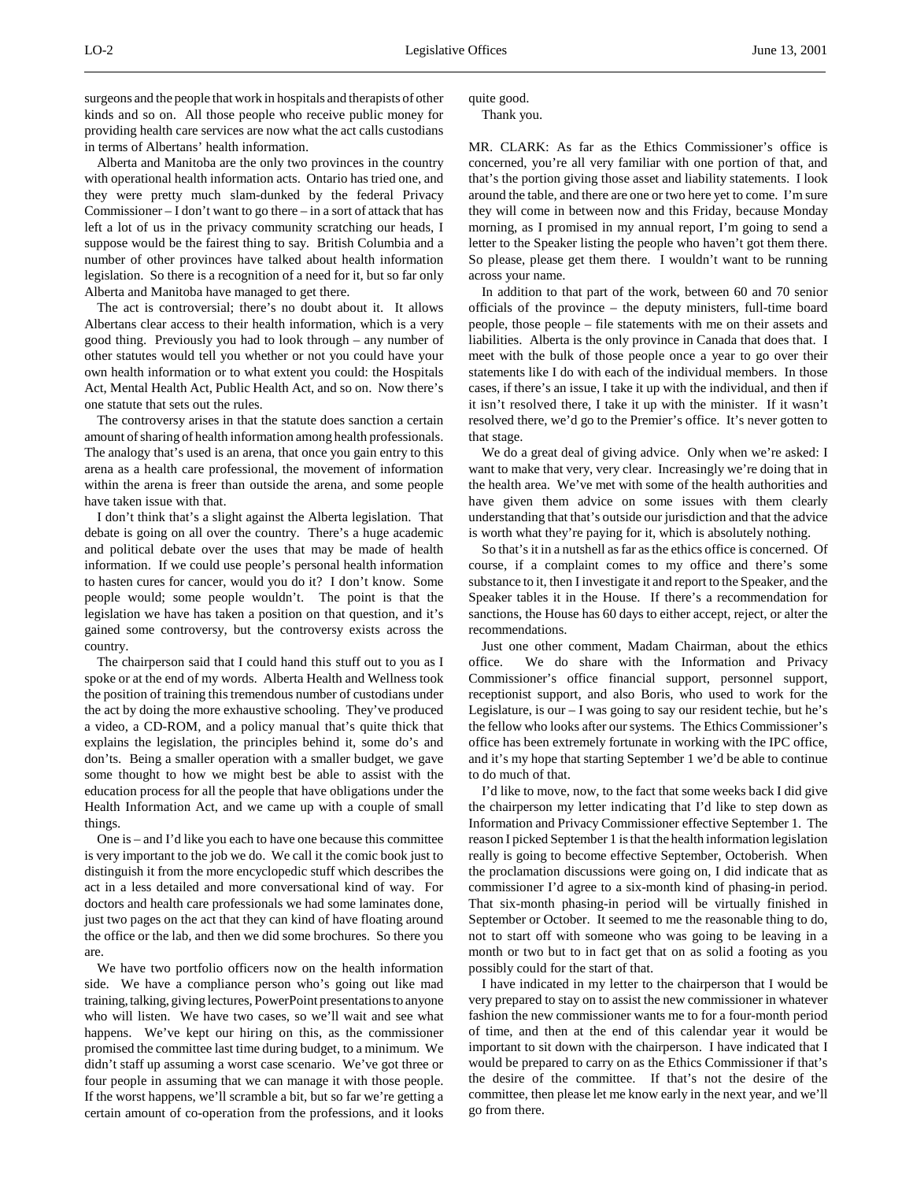surgeons and the people that work in hospitals and therapists of other kinds and so on. All those people who receive public money for providing health care services are now what the act calls custodians in terms of Albertans' health information.

Alberta and Manitoba are the only two provinces in the country with operational health information acts. Ontario has tried one, and they were pretty much slam-dunked by the federal Privacy Commissioner – I don't want to go there – in a sort of attack that has left a lot of us in the privacy community scratching our heads, I suppose would be the fairest thing to say. British Columbia and a number of other provinces have talked about health information legislation. So there is a recognition of a need for it, but so far only Alberta and Manitoba have managed to get there.

The act is controversial; there's no doubt about it. It allows Albertans clear access to their health information, which is a very good thing. Previously you had to look through – any number of other statutes would tell you whether or not you could have your own health information or to what extent you could: the Hospitals Act, Mental Health Act, Public Health Act, and so on. Now there's one statute that sets out the rules.

The controversy arises in that the statute does sanction a certain amount of sharing of health information among health professionals. The analogy that's used is an arena, that once you gain entry to this arena as a health care professional, the movement of information within the arena is freer than outside the arena, and some people have taken issue with that.

I don't think that's a slight against the Alberta legislation. That debate is going on all over the country. There's a huge academic and political debate over the uses that may be made of health information. If we could use people's personal health information to hasten cures for cancer, would you do it? I don't know. Some people would; some people wouldn't. The point is that the legislation we have has taken a position on that question, and it's gained some controversy, but the controversy exists across the country.

The chairperson said that I could hand this stuff out to you as I spoke or at the end of my words. Alberta Health and Wellness took the position of training this tremendous number of custodians under the act by doing the more exhaustive schooling. They've produced a video, a CD-ROM, and a policy manual that's quite thick that explains the legislation, the principles behind it, some do's and don'ts. Being a smaller operation with a smaller budget, we gave some thought to how we might best be able to assist with the education process for all the people that have obligations under the Health Information Act, and we came up with a couple of small things.

One is – and I'd like you each to have one because this committee is very important to the job we do. We call it the comic book just to distinguish it from the more encyclopedic stuff which describes the act in a less detailed and more conversational kind of way. For doctors and health care professionals we had some laminates done, just two pages on the act that they can kind of have floating around the office or the lab, and then we did some brochures. So there you are.

We have two portfolio officers now on the health information side. We have a compliance person who's going out like mad training, talking, giving lectures, PowerPoint presentations to anyone who will listen. We have two cases, so we'll wait and see what happens. We've kept our hiring on this, as the commissioner promised the committee last time during budget, to a minimum. We didn't staff up assuming a worst case scenario. We've got three or four people in assuming that we can manage it with those people. If the worst happens, we'll scramble a bit, but so far we're getting a certain amount of co-operation from the professions, and it looks

quite good. Thank you.

MR. CLARK: As far as the Ethics Commissioner's office is concerned, you're all very familiar with one portion of that, and that's the portion giving those asset and liability statements. I look around the table, and there are one or two here yet to come. I'm sure they will come in between now and this Friday, because Monday morning, as I promised in my annual report, I'm going to send a letter to the Speaker listing the people who haven't got them there. So please, please get them there. I wouldn't want to be running across your name.

In addition to that part of the work, between 60 and 70 senior officials of the province – the deputy ministers, full-time board people, those people – file statements with me on their assets and liabilities. Alberta is the only province in Canada that does that. I meet with the bulk of those people once a year to go over their statements like I do with each of the individual members. In those cases, if there's an issue, I take it up with the individual, and then if it isn't resolved there, I take it up with the minister. If it wasn't resolved there, we'd go to the Premier's office. It's never gotten to that stage.

We do a great deal of giving advice. Only when we're asked: I want to make that very, very clear. Increasingly we're doing that in the health area. We've met with some of the health authorities and have given them advice on some issues with them clearly understanding that that's outside our jurisdiction and that the advice is worth what they're paying for it, which is absolutely nothing.

So that's it in a nutshell as far as the ethics office is concerned. Of course, if a complaint comes to my office and there's some substance to it, then I investigate it and report to the Speaker, and the Speaker tables it in the House. If there's a recommendation for sanctions, the House has 60 days to either accept, reject, or alter the recommendations.

Just one other comment, Madam Chairman, about the ethics office. We do share with the Information and Privacy Commissioner's office financial support, personnel support, receptionist support, and also Boris, who used to work for the Legislature, is our  $-1$  was going to say our resident techie, but he's the fellow who looks after our systems. The Ethics Commissioner's office has been extremely fortunate in working with the IPC office, and it's my hope that starting September 1 we'd be able to continue to do much of that.

I'd like to move, now, to the fact that some weeks back I did give the chairperson my letter indicating that I'd like to step down as Information and Privacy Commissioner effective September 1. The reason I picked September 1 is that the health information legislation really is going to become effective September, Octoberish. When the proclamation discussions were going on, I did indicate that as commissioner I'd agree to a six-month kind of phasing-in period. That six-month phasing-in period will be virtually finished in September or October. It seemed to me the reasonable thing to do, not to start off with someone who was going to be leaving in a month or two but to in fact get that on as solid a footing as you possibly could for the start of that.

I have indicated in my letter to the chairperson that I would be very prepared to stay on to assist the new commissioner in whatever fashion the new commissioner wants me to for a four-month period of time, and then at the end of this calendar year it would be important to sit down with the chairperson. I have indicated that I would be prepared to carry on as the Ethics Commissioner if that's the desire of the committee. If that's not the desire of the committee, then please let me know early in the next year, and we'll go from there.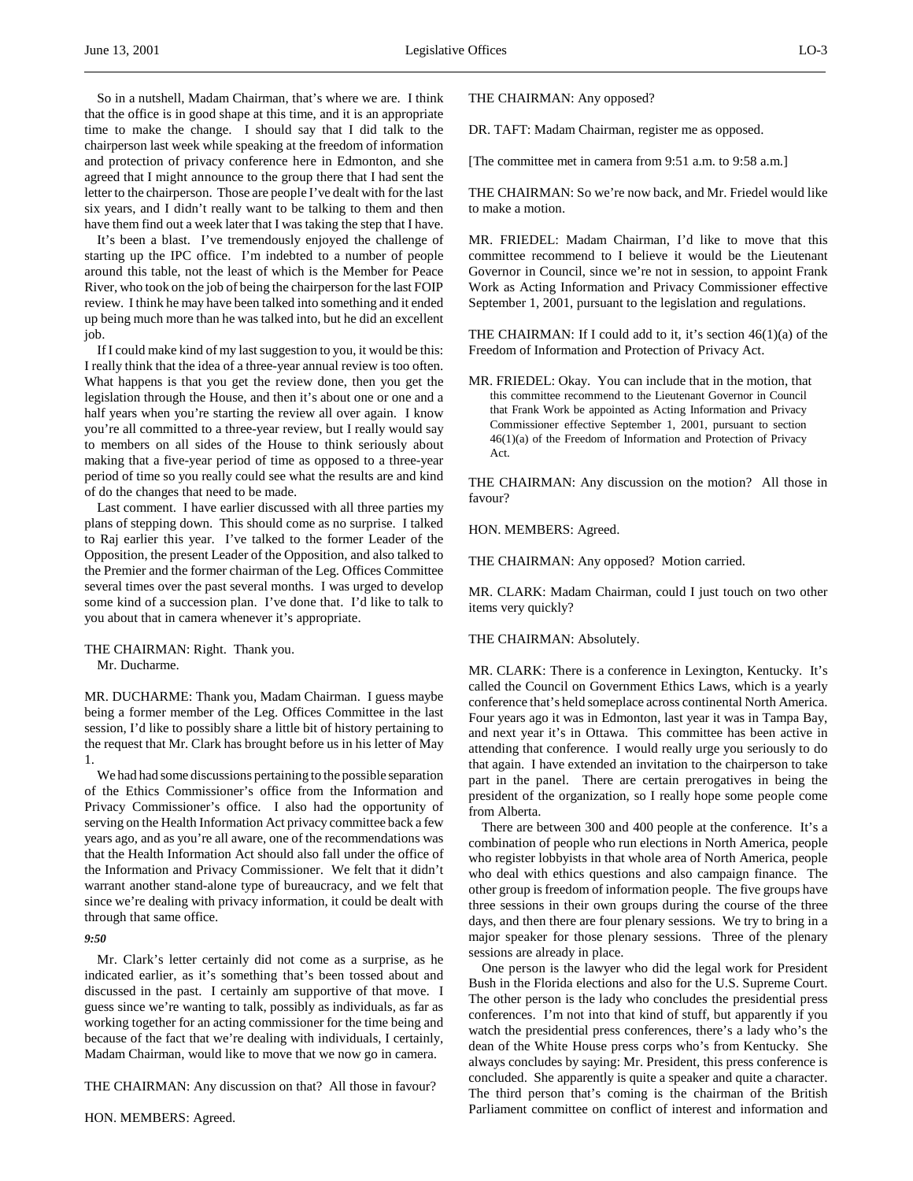So in a nutshell, Madam Chairman, that's where we are. I think that the office is in good shape at this time, and it is an appropriate time to make the change. I should say that I did talk to the chairperson last week while speaking at the freedom of information and protection of privacy conference here in Edmonton, and she agreed that I might announce to the group there that I had sent the letter to the chairperson. Those are people I've dealt with for the last six years, and I didn't really want to be talking to them and then have them find out a week later that I was taking the step that I have.

It's been a blast. I've tremendously enjoyed the challenge of starting up the IPC office. I'm indebted to a number of people around this table, not the least of which is the Member for Peace River, who took on the job of being the chairperson for the last FOIP review. I think he may have been talked into something and it ended up being much more than he was talked into, but he did an excellent job.

If I could make kind of my last suggestion to you, it would be this: I really think that the idea of a three-year annual review is too often. What happens is that you get the review done, then you get the legislation through the House, and then it's about one or one and a half years when you're starting the review all over again. I know you're all committed to a three-year review, but I really would say to members on all sides of the House to think seriously about making that a five-year period of time as opposed to a three-year period of time so you really could see what the results are and kind of do the changes that need to be made.

Last comment. I have earlier discussed with all three parties my plans of stepping down. This should come as no surprise. I talked to Raj earlier this year. I've talked to the former Leader of the Opposition, the present Leader of the Opposition, and also talked to the Premier and the former chairman of the Leg. Offices Committee several times over the past several months. I was urged to develop some kind of a succession plan. I've done that. I'd like to talk to you about that in camera whenever it's appropriate.

THE CHAIRMAN: Right. Thank you. Mr. Ducharme.

MR. DUCHARME: Thank you, Madam Chairman. I guess maybe being a former member of the Leg. Offices Committee in the last session, I'd like to possibly share a little bit of history pertaining to the request that Mr. Clark has brought before us in his letter of May 1.

We had had some discussions pertaining to the possible separation of the Ethics Commissioner's office from the Information and Privacy Commissioner's office. I also had the opportunity of serving on the Health Information Act privacy committee back a few years ago, and as you're all aware, one of the recommendations was that the Health Information Act should also fall under the office of the Information and Privacy Commissioner. We felt that it didn't warrant another stand-alone type of bureaucracy, and we felt that since we're dealing with privacy information, it could be dealt with through that same office.

#### *9:50*

Mr. Clark's letter certainly did not come as a surprise, as he indicated earlier, as it's something that's been tossed about and discussed in the past. I certainly am supportive of that move. I guess since we're wanting to talk, possibly as individuals, as far as working together for an acting commissioner for the time being and because of the fact that we're dealing with individuals, I certainly, Madam Chairman, would like to move that we now go in camera.

THE CHAIRMAN: Any discussion on that? All those in favour?

THE CHAIRMAN: Any opposed?

DR. TAFT: Madam Chairman, register me as opposed.

[The committee met in camera from 9:51 a.m. to 9:58 a.m.]

THE CHAIRMAN: So we're now back, and Mr. Friedel would like to make a motion.

MR. FRIEDEL: Madam Chairman, I'd like to move that this committee recommend to I believe it would be the Lieutenant Governor in Council, since we're not in session, to appoint Frank Work as Acting Information and Privacy Commissioner effective September 1, 2001, pursuant to the legislation and regulations.

THE CHAIRMAN: If I could add to it, it's section 46(1)(a) of the Freedom of Information and Protection of Privacy Act.

MR. FRIEDEL: Okay. You can include that in the motion, that this committee recommend to the Lieutenant Governor in Council that Frank Work be appointed as Acting Information and Privacy Commissioner effective September 1, 2001, pursuant to section 46(1)(a) of the Freedom of Information and Protection of Privacy Act.

THE CHAIRMAN: Any discussion on the motion? All those in favour?

HON. MEMBERS: Agreed.

THE CHAIRMAN: Any opposed? Motion carried.

MR. CLARK: Madam Chairman, could I just touch on two other items very quickly?

#### THE CHAIRMAN: Absolutely.

MR. CLARK: There is a conference in Lexington, Kentucky. It's called the Council on Government Ethics Laws, which is a yearly conference that's held someplace across continental North America. Four years ago it was in Edmonton, last year it was in Tampa Bay, and next year it's in Ottawa. This committee has been active in attending that conference. I would really urge you seriously to do that again. I have extended an invitation to the chairperson to take part in the panel. There are certain prerogatives in being the president of the organization, so I really hope some people come from Alberta.

There are between 300 and 400 people at the conference. It's a combination of people who run elections in North America, people who register lobbyists in that whole area of North America, people who deal with ethics questions and also campaign finance. The other group is freedom of information people. The five groups have three sessions in their own groups during the course of the three days, and then there are four plenary sessions. We try to bring in a major speaker for those plenary sessions. Three of the plenary sessions are already in place.

One person is the lawyer who did the legal work for President Bush in the Florida elections and also for the U.S. Supreme Court. The other person is the lady who concludes the presidential press conferences. I'm not into that kind of stuff, but apparently if you watch the presidential press conferences, there's a lady who's the dean of the White House press corps who's from Kentucky. She always concludes by saying: Mr. President, this press conference is concluded. She apparently is quite a speaker and quite a character. The third person that's coming is the chairman of the British Parliament committee on conflict of interest and information and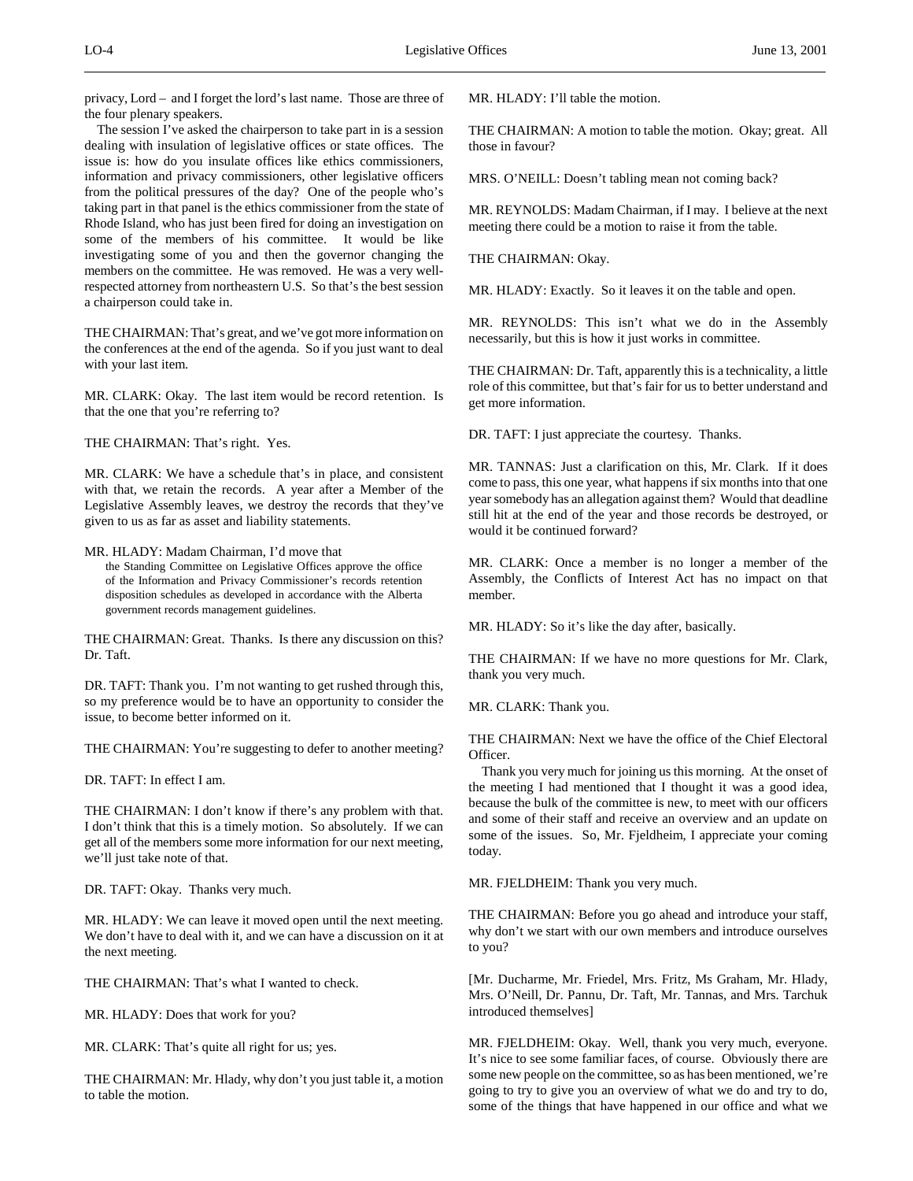privacy, Lord – and I forget the lord's last name. Those are three of the four plenary speakers.

The session I've asked the chairperson to take part in is a session dealing with insulation of legislative offices or state offices. The issue is: how do you insulate offices like ethics commissioners, information and privacy commissioners, other legislative officers from the political pressures of the day? One of the people who's taking part in that panel is the ethics commissioner from the state of Rhode Island, who has just been fired for doing an investigation on some of the members of his committee. It would be like investigating some of you and then the governor changing the members on the committee. He was removed. He was a very wellrespected attorney from northeastern U.S. So that's the best session a chairperson could take in.

THE CHAIRMAN: That's great, and we've got more information on the conferences at the end of the agenda. So if you just want to deal with your last item.

MR. CLARK: Okay. The last item would be record retention. Is that the one that you're referring to?

THE CHAIRMAN: That's right. Yes.

MR. CLARK: We have a schedule that's in place, and consistent with that, we retain the records. A year after a Member of the Legislative Assembly leaves, we destroy the records that they've given to us as far as asset and liability statements.

MR. HLADY: Madam Chairman, I'd move that the Standing Committee on Legislative Offices approve the office of the Information and Privacy Commissioner's records retention disposition schedules as developed in accordance with the Alberta government records management guidelines.

THE CHAIRMAN: Great. Thanks. Is there any discussion on this? Dr. Taft.

DR. TAFT: Thank you. I'm not wanting to get rushed through this, so my preference would be to have an opportunity to consider the issue, to become better informed on it.

THE CHAIRMAN: You're suggesting to defer to another meeting?

DR. TAFT: In effect I am.

THE CHAIRMAN: I don't know if there's any problem with that. I don't think that this is a timely motion. So absolutely. If we can get all of the members some more information for our next meeting, we'll just take note of that.

DR. TAFT: Okay. Thanks very much.

MR. HLADY: We can leave it moved open until the next meeting. We don't have to deal with it, and we can have a discussion on it at the next meeting.

THE CHAIRMAN: That's what I wanted to check.

MR. HLADY: Does that work for you?

MR. CLARK: That's quite all right for us; yes.

THE CHAIRMAN: Mr. Hlady, why don't you just table it, a motion to table the motion.

MR. HLADY: I'll table the motion.

THE CHAIRMAN: A motion to table the motion. Okay; great. All those in favour?

MRS. O'NEILL: Doesn't tabling mean not coming back?

MR. REYNOLDS: Madam Chairman, if I may. I believe at the next meeting there could be a motion to raise it from the table.

THE CHAIRMAN: Okay.

MR. HLADY: Exactly. So it leaves it on the table and open.

MR. REYNOLDS: This isn't what we do in the Assembly necessarily, but this is how it just works in committee.

THE CHAIRMAN: Dr. Taft, apparently this is a technicality, a little role of this committee, but that's fair for us to better understand and get more information.

DR. TAFT: I just appreciate the courtesy. Thanks.

MR. TANNAS: Just a clarification on this, Mr. Clark. If it does come to pass, this one year, what happens if six months into that one year somebody has an allegation against them? Would that deadline still hit at the end of the year and those records be destroyed, or would it be continued forward?

MR. CLARK: Once a member is no longer a member of the Assembly, the Conflicts of Interest Act has no impact on that member.

MR. HLADY: So it's like the day after, basically.

THE CHAIRMAN: If we have no more questions for Mr. Clark, thank you very much.

MR. CLARK: Thank you.

THE CHAIRMAN: Next we have the office of the Chief Electoral Officer.

Thank you very much for joining us this morning. At the onset of the meeting I had mentioned that I thought it was a good idea, because the bulk of the committee is new, to meet with our officers and some of their staff and receive an overview and an update on some of the issues. So, Mr. Fjeldheim, I appreciate your coming today.

MR. FJELDHEIM: Thank you very much.

THE CHAIRMAN: Before you go ahead and introduce your staff, why don't we start with our own members and introduce ourselves to you?

[Mr. Ducharme, Mr. Friedel, Mrs. Fritz, Ms Graham, Mr. Hlady, Mrs. O'Neill, Dr. Pannu, Dr. Taft, Mr. Tannas, and Mrs. Tarchuk introduced themselves]

MR. FJELDHEIM: Okay. Well, thank you very much, everyone. It's nice to see some familiar faces, of course. Obviously there are some new people on the committee, so as has been mentioned, we're going to try to give you an overview of what we do and try to do, some of the things that have happened in our office and what we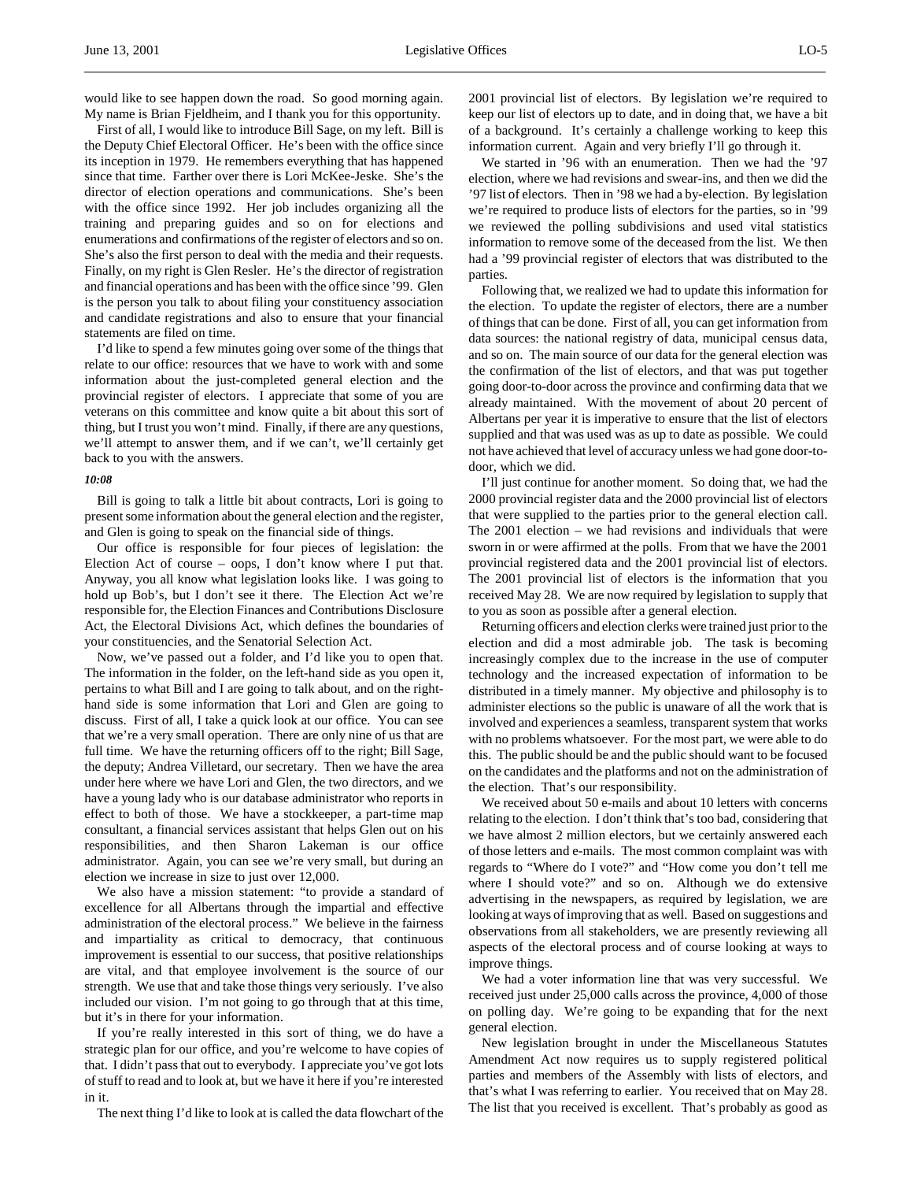would like to see happen down the road. So good morning again. My name is Brian Fjeldheim, and I thank you for this opportunity.

First of all, I would like to introduce Bill Sage, on my left. Bill is the Deputy Chief Electoral Officer. He's been with the office since its inception in 1979. He remembers everything that has happened since that time. Farther over there is Lori McKee-Jeske. She's the director of election operations and communications. She's been with the office since 1992. Her job includes organizing all the training and preparing guides and so on for elections and enumerations and confirmations of the register of electors and so on. She's also the first person to deal with the media and their requests. Finally, on my right is Glen Resler. He's the director of registration and financial operations and has been with the office since '99. Glen is the person you talk to about filing your constituency association and candidate registrations and also to ensure that your financial statements are filed on time.

I'd like to spend a few minutes going over some of the things that relate to our office: resources that we have to work with and some information about the just-completed general election and the provincial register of electors. I appreciate that some of you are veterans on this committee and know quite a bit about this sort of thing, but I trust you won't mind. Finally, if there are any questions, we'll attempt to answer them, and if we can't, we'll certainly get back to you with the answers.

#### *10:08*

Bill is going to talk a little bit about contracts, Lori is going to present some information about the general election and the register, and Glen is going to speak on the financial side of things.

Our office is responsible for four pieces of legislation: the Election Act of course – oops, I don't know where I put that. Anyway, you all know what legislation looks like. I was going to hold up Bob's, but I don't see it there. The Election Act we're responsible for, the Election Finances and Contributions Disclosure Act, the Electoral Divisions Act, which defines the boundaries of your constituencies, and the Senatorial Selection Act.

Now, we've passed out a folder, and I'd like you to open that. The information in the folder, on the left-hand side as you open it, pertains to what Bill and I are going to talk about, and on the righthand side is some information that Lori and Glen are going to discuss. First of all, I take a quick look at our office. You can see that we're a very small operation. There are only nine of us that are full time. We have the returning officers off to the right; Bill Sage, the deputy; Andrea Villetard, our secretary. Then we have the area under here where we have Lori and Glen, the two directors, and we have a young lady who is our database administrator who reports in effect to both of those. We have a stockkeeper, a part-time map consultant, a financial services assistant that helps Glen out on his responsibilities, and then Sharon Lakeman is our office administrator. Again, you can see we're very small, but during an election we increase in size to just over 12,000.

We also have a mission statement: "to provide a standard of excellence for all Albertans through the impartial and effective administration of the electoral process." We believe in the fairness and impartiality as critical to democracy, that continuous improvement is essential to our success, that positive relationships are vital, and that employee involvement is the source of our strength. We use that and take those things very seriously. I've also included our vision. I'm not going to go through that at this time, but it's in there for your information.

If you're really interested in this sort of thing, we do have a strategic plan for our office, and you're welcome to have copies of that. I didn't pass that out to everybody. I appreciate you've got lots of stuff to read and to look at, but we have it here if you're interested in it.

The next thing I'd like to look at is called the data flowchart of the

2001 provincial list of electors. By legislation we're required to keep our list of electors up to date, and in doing that, we have a bit of a background. It's certainly a challenge working to keep this information current. Again and very briefly I'll go through it.

We started in '96 with an enumeration. Then we had the '97 election, where we had revisions and swear-ins, and then we did the '97 list of electors. Then in '98 we had a by-election. By legislation we're required to produce lists of electors for the parties, so in '99 we reviewed the polling subdivisions and used vital statistics information to remove some of the deceased from the list. We then had a '99 provincial register of electors that was distributed to the parties.

Following that, we realized we had to update this information for the election. To update the register of electors, there are a number of things that can be done. First of all, you can get information from data sources: the national registry of data, municipal census data, and so on. The main source of our data for the general election was the confirmation of the list of electors, and that was put together going door-to-door across the province and confirming data that we already maintained. With the movement of about 20 percent of Albertans per year it is imperative to ensure that the list of electors supplied and that was used was as up to date as possible. We could not have achieved that level of accuracy unless we had gone door-todoor, which we did.

I'll just continue for another moment. So doing that, we had the 2000 provincial register data and the 2000 provincial list of electors that were supplied to the parties prior to the general election call. The 2001 election – we had revisions and individuals that were sworn in or were affirmed at the polls. From that we have the 2001 provincial registered data and the 2001 provincial list of electors. The 2001 provincial list of electors is the information that you received May 28. We are now required by legislation to supply that to you as soon as possible after a general election.

Returning officers and election clerks were trained just prior to the election and did a most admirable job. The task is becoming increasingly complex due to the increase in the use of computer technology and the increased expectation of information to be distributed in a timely manner. My objective and philosophy is to administer elections so the public is unaware of all the work that is involved and experiences a seamless, transparent system that works with no problems whatsoever. For the most part, we were able to do this. The public should be and the public should want to be focused on the candidates and the platforms and not on the administration of the election. That's our responsibility.

We received about 50 e-mails and about 10 letters with concerns relating to the election. I don't think that's too bad, considering that we have almost 2 million electors, but we certainly answered each of those letters and e-mails. The most common complaint was with regards to "Where do I vote?" and "How come you don't tell me where I should vote?" and so on. Although we do extensive advertising in the newspapers, as required by legislation, we are looking at ways of improving that as well. Based on suggestions and observations from all stakeholders, we are presently reviewing all aspects of the electoral process and of course looking at ways to improve things.

We had a voter information line that was very successful. We received just under 25,000 calls across the province, 4,000 of those on polling day. We're going to be expanding that for the next general election.

New legislation brought in under the Miscellaneous Statutes Amendment Act now requires us to supply registered political parties and members of the Assembly with lists of electors, and that's what I was referring to earlier. You received that on May 28. The list that you received is excellent. That's probably as good as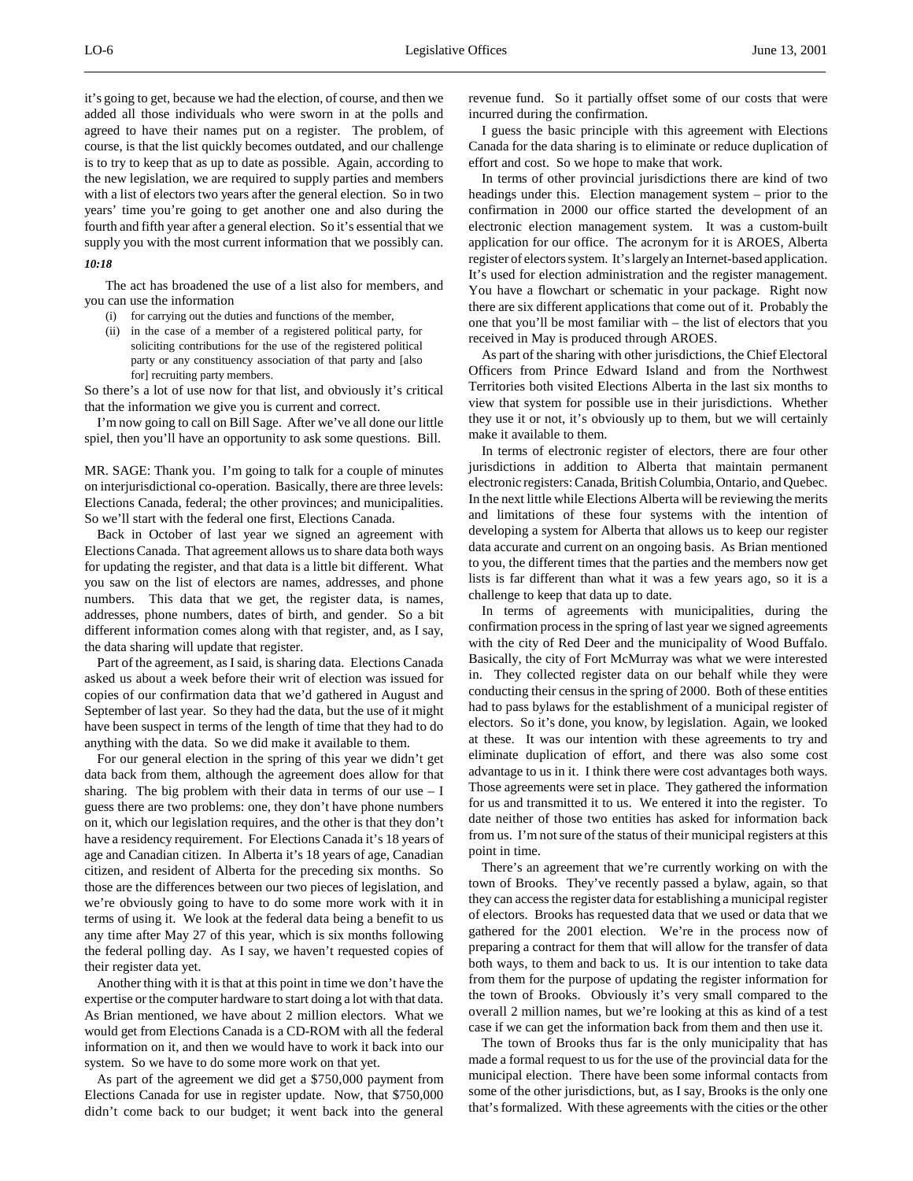#### *10:18*

The act has broadened the use of a list also for members, and you can use the information

supply you with the most current information that we possibly can.

- (i) for carrying out the duties and functions of the member,
- (ii) in the case of a member of a registered political party, for soliciting contributions for the use of the registered political party or any constituency association of that party and [also for] recruiting party members.

So there's a lot of use now for that list, and obviously it's critical that the information we give you is current and correct.

I'm now going to call on Bill Sage. After we've all done our little spiel, then you'll have an opportunity to ask some questions. Bill.

MR. SAGE: Thank you. I'm going to talk for a couple of minutes on interjurisdictional co-operation. Basically, there are three levels: Elections Canada, federal; the other provinces; and municipalities. So we'll start with the federal one first, Elections Canada.

Back in October of last year we signed an agreement with Elections Canada. That agreement allows us to share data both ways for updating the register, and that data is a little bit different. What you saw on the list of electors are names, addresses, and phone numbers. This data that we get, the register data, is names, addresses, phone numbers, dates of birth, and gender. So a bit different information comes along with that register, and, as I say, the data sharing will update that register.

Part of the agreement, as I said, is sharing data. Elections Canada asked us about a week before their writ of election was issued for copies of our confirmation data that we'd gathered in August and September of last year. So they had the data, but the use of it might have been suspect in terms of the length of time that they had to do anything with the data. So we did make it available to them.

For our general election in the spring of this year we didn't get data back from them, although the agreement does allow for that sharing. The big problem with their data in terms of our use  $-1$ guess there are two problems: one, they don't have phone numbers on it, which our legislation requires, and the other is that they don't have a residency requirement. For Elections Canada it's 18 years of age and Canadian citizen. In Alberta it's 18 years of age, Canadian citizen, and resident of Alberta for the preceding six months. So those are the differences between our two pieces of legislation, and we're obviously going to have to do some more work with it in terms of using it. We look at the federal data being a benefit to us any time after May 27 of this year, which is six months following the federal polling day. As I say, we haven't requested copies of their register data yet.

Another thing with it is that at this point in time we don't have the expertise or the computer hardware to start doing a lot with that data. As Brian mentioned, we have about 2 million electors. What we would get from Elections Canada is a CD-ROM with all the federal information on it, and then we would have to work it back into our system. So we have to do some more work on that yet.

As part of the agreement we did get a \$750,000 payment from Elections Canada for use in register update. Now, that \$750,000 didn't come back to our budget; it went back into the general

revenue fund. So it partially offset some of our costs that were incurred during the confirmation.

I guess the basic principle with this agreement with Elections Canada for the data sharing is to eliminate or reduce duplication of effort and cost. So we hope to make that work.

In terms of other provincial jurisdictions there are kind of two headings under this. Election management system – prior to the confirmation in 2000 our office started the development of an electronic election management system. It was a custom-built application for our office. The acronym for it is AROES, Alberta register of electors system. It's largely an Internet-based application. It's used for election administration and the register management. You have a flowchart or schematic in your package. Right now there are six different applications that come out of it. Probably the one that you'll be most familiar with – the list of electors that you received in May is produced through AROES.

As part of the sharing with other jurisdictions, the Chief Electoral Officers from Prince Edward Island and from the Northwest Territories both visited Elections Alberta in the last six months to view that system for possible use in their jurisdictions. Whether they use it or not, it's obviously up to them, but we will certainly make it available to them.

In terms of electronic register of electors, there are four other jurisdictions in addition to Alberta that maintain permanent electronic registers: Canada, British Columbia, Ontario, and Quebec. In the next little while Elections Alberta will be reviewing the merits and limitations of these four systems with the intention of developing a system for Alberta that allows us to keep our register data accurate and current on an ongoing basis. As Brian mentioned to you, the different times that the parties and the members now get lists is far different than what it was a few years ago, so it is a challenge to keep that data up to date.

In terms of agreements with municipalities, during the confirmation process in the spring of last year we signed agreements with the city of Red Deer and the municipality of Wood Buffalo. Basically, the city of Fort McMurray was what we were interested in. They collected register data on our behalf while they were conducting their census in the spring of 2000. Both of these entities had to pass bylaws for the establishment of a municipal register of electors. So it's done, you know, by legislation. Again, we looked at these. It was our intention with these agreements to try and eliminate duplication of effort, and there was also some cost advantage to us in it. I think there were cost advantages both ways. Those agreements were set in place. They gathered the information for us and transmitted it to us. We entered it into the register. To date neither of those two entities has asked for information back from us. I'm not sure of the status of their municipal registers at this point in time.

There's an agreement that we're currently working on with the town of Brooks. They've recently passed a bylaw, again, so that they can access the register data for establishing a municipal register of electors. Brooks has requested data that we used or data that we gathered for the 2001 election. We're in the process now of preparing a contract for them that will allow for the transfer of data both ways, to them and back to us. It is our intention to take data from them for the purpose of updating the register information for the town of Brooks. Obviously it's very small compared to the overall 2 million names, but we're looking at this as kind of a test case if we can get the information back from them and then use it.

The town of Brooks thus far is the only municipality that has made a formal request to us for the use of the provincial data for the municipal election. There have been some informal contacts from some of the other jurisdictions, but, as I say, Brooks is the only one that's formalized. With these agreements with the cities or the other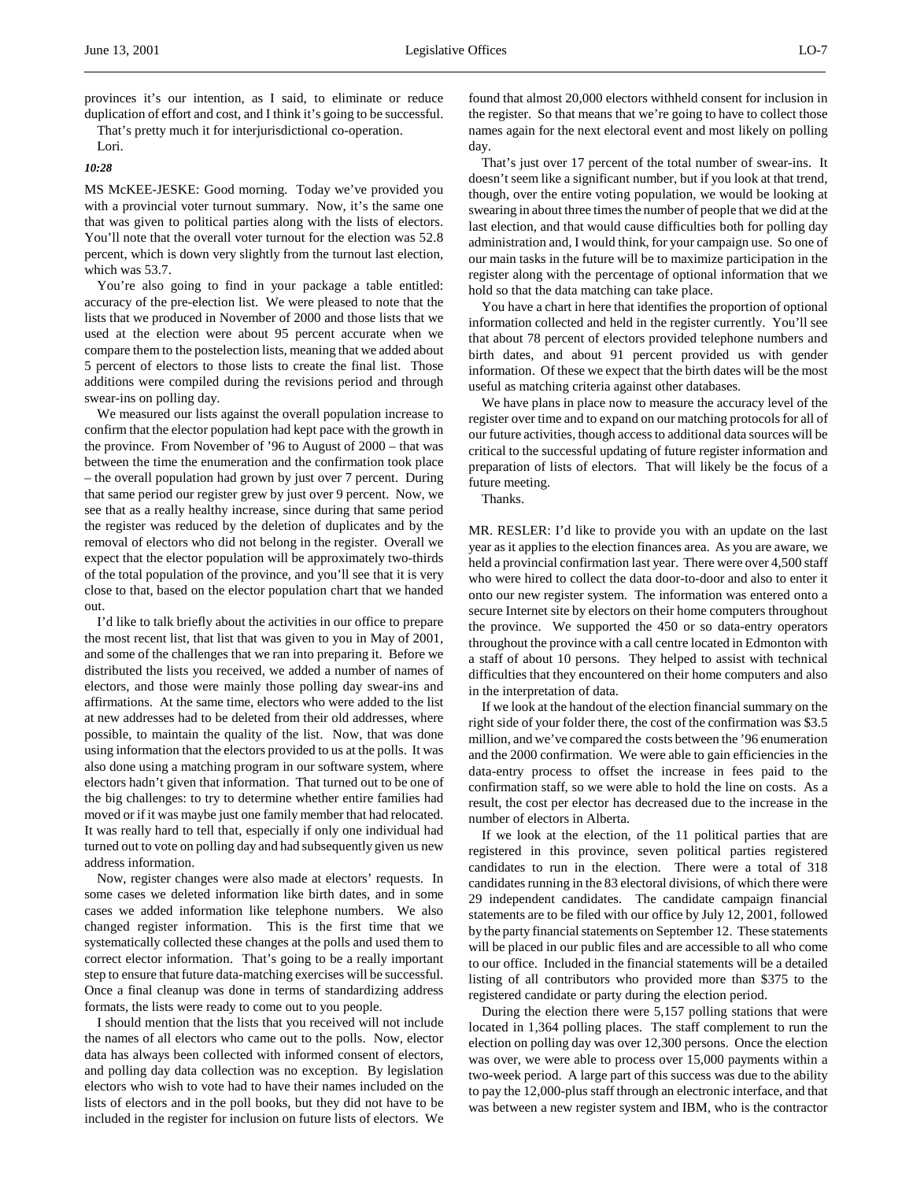provinces it's our intention, as I said, to eliminate or reduce duplication of effort and cost, and I think it's going to be successful.

That's pretty much it for interjurisdictional co-operation.

Lori. *10:28*

֦

MS McKEE-JESKE: Good morning. Today we've provided you with a provincial voter turnout summary. Now, it's the same one that was given to political parties along with the lists of electors. You'll note that the overall voter turnout for the election was 52.8 percent, which is down very slightly from the turnout last election, which was 53.7.

You're also going to find in your package a table entitled: accuracy of the pre-election list. We were pleased to note that the lists that we produced in November of 2000 and those lists that we used at the election were about 95 percent accurate when we compare them to the postelection lists, meaning that we added about 5 percent of electors to those lists to create the final list. Those additions were compiled during the revisions period and through swear-ins on polling day.

We measured our lists against the overall population increase to confirm that the elector population had kept pace with the growth in the province. From November of '96 to August of 2000 – that was between the time the enumeration and the confirmation took place – the overall population had grown by just over 7 percent. During that same period our register grew by just over 9 percent. Now, we see that as a really healthy increase, since during that same period the register was reduced by the deletion of duplicates and by the removal of electors who did not belong in the register. Overall we expect that the elector population will be approximately two-thirds of the total population of the province, and you'll see that it is very close to that, based on the elector population chart that we handed out.

I'd like to talk briefly about the activities in our office to prepare the most recent list, that list that was given to you in May of 2001, and some of the challenges that we ran into preparing it. Before we distributed the lists you received, we added a number of names of electors, and those were mainly those polling day swear-ins and affirmations. At the same time, electors who were added to the list at new addresses had to be deleted from their old addresses, where possible, to maintain the quality of the list. Now, that was done using information that the electors provided to us at the polls. It was also done using a matching program in our software system, where electors hadn't given that information. That turned out to be one of the big challenges: to try to determine whether entire families had moved or if it was maybe just one family member that had relocated. It was really hard to tell that, especially if only one individual had turned out to vote on polling day and had subsequently given us new address information.

Now, register changes were also made at electors' requests. In some cases we deleted information like birth dates, and in some cases we added information like telephone numbers. We also changed register information. This is the first time that we systematically collected these changes at the polls and used them to correct elector information. That's going to be a really important step to ensure that future data-matching exercises will be successful. Once a final cleanup was done in terms of standardizing address formats, the lists were ready to come out to you people.

I should mention that the lists that you received will not include the names of all electors who came out to the polls. Now, elector data has always been collected with informed consent of electors, and polling day data collection was no exception. By legislation electors who wish to vote had to have their names included on the lists of electors and in the poll books, but they did not have to be included in the register for inclusion on future lists of electors. We

found that almost 20,000 electors withheld consent for inclusion in the register. So that means that we're going to have to collect those names again for the next electoral event and most likely on polling day.

That's just over 17 percent of the total number of swear-ins. It doesn't seem like a significant number, but if you look at that trend, though, over the entire voting population, we would be looking at swearing in about three times the number of people that we did at the last election, and that would cause difficulties both for polling day administration and, I would think, for your campaign use. So one of our main tasks in the future will be to maximize participation in the register along with the percentage of optional information that we hold so that the data matching can take place.

You have a chart in here that identifies the proportion of optional information collected and held in the register currently. You'll see that about 78 percent of electors provided telephone numbers and birth dates, and about 91 percent provided us with gender information. Of these we expect that the birth dates will be the most useful as matching criteria against other databases.

We have plans in place now to measure the accuracy level of the register over time and to expand on our matching protocols for all of our future activities, though access to additional data sources will be critical to the successful updating of future register information and preparation of lists of electors. That will likely be the focus of a future meeting.

Thanks.

MR. RESLER: I'd like to provide you with an update on the last year as it applies to the election finances area. As you are aware, we held a provincial confirmation last year. There were over 4,500 staff who were hired to collect the data door-to-door and also to enter it onto our new register system. The information was entered onto a secure Internet site by electors on their home computers throughout the province. We supported the 450 or so data-entry operators throughout the province with a call centre located in Edmonton with a staff of about 10 persons. They helped to assist with technical difficulties that they encountered on their home computers and also in the interpretation of data.

If we look at the handout of the election financial summary on the right side of your folder there, the cost of the confirmation was \$3.5 million, and we've compared the costs between the '96 enumeration and the 2000 confirmation. We were able to gain efficiencies in the data-entry process to offset the increase in fees paid to the confirmation staff, so we were able to hold the line on costs. As a result, the cost per elector has decreased due to the increase in the number of electors in Alberta.

If we look at the election, of the 11 political parties that are registered in this province, seven political parties registered candidates to run in the election. There were a total of 318 candidates running in the 83 electoral divisions, of which there were 29 independent candidates. The candidate campaign financial statements are to be filed with our office by July 12, 2001, followed by the party financial statements on September 12. These statements will be placed in our public files and are accessible to all who come to our office. Included in the financial statements will be a detailed listing of all contributors who provided more than \$375 to the registered candidate or party during the election period.

During the election there were 5,157 polling stations that were located in 1,364 polling places. The staff complement to run the election on polling day was over 12,300 persons. Once the election was over, we were able to process over 15,000 payments within a two-week period. A large part of this success was due to the ability to pay the 12,000-plus staff through an electronic interface, and that was between a new register system and IBM, who is the contractor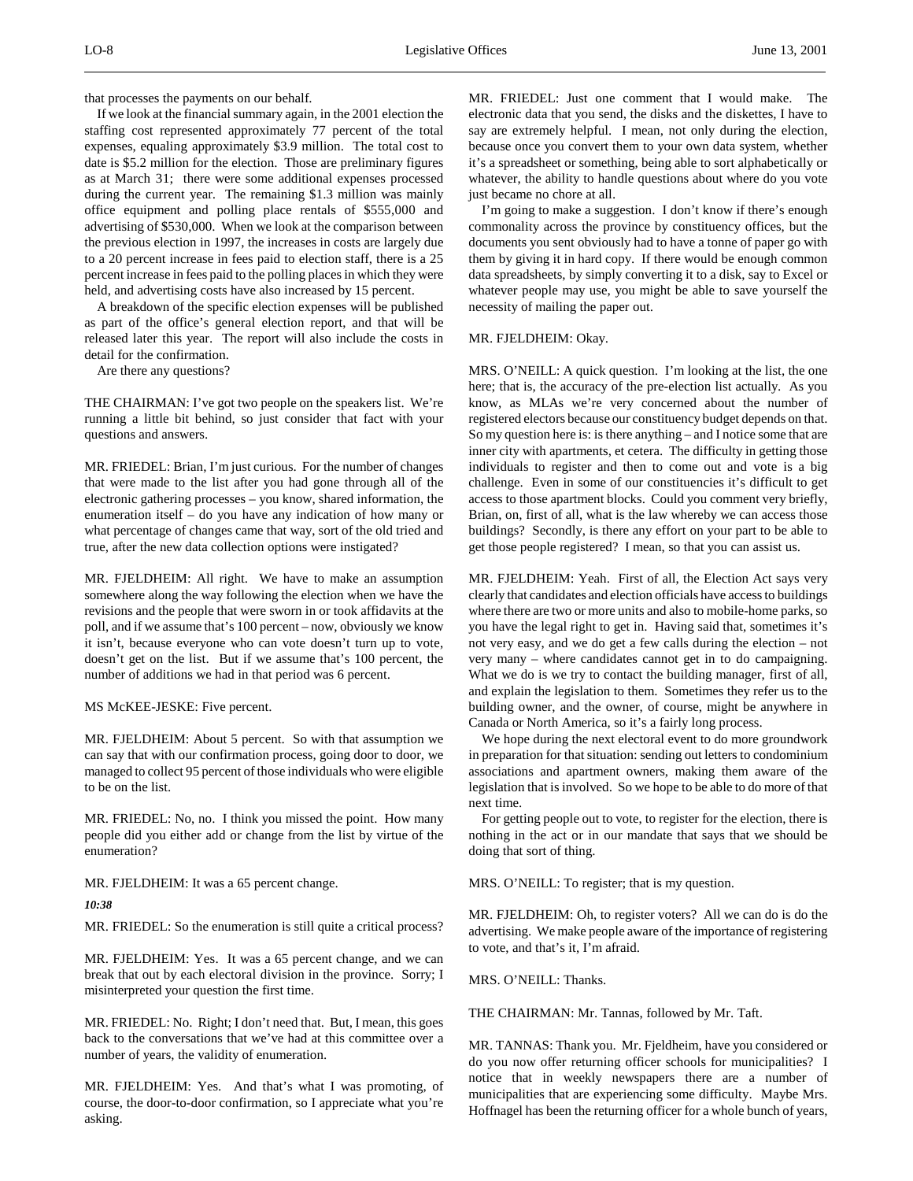that processes the payments on our behalf.

If we look at the financial summary again, in the 2001 election the staffing cost represented approximately 77 percent of the total expenses, equaling approximately \$3.9 million. The total cost to date is \$5.2 million for the election. Those are preliminary figures as at March 31; there were some additional expenses processed during the current year. The remaining \$1.3 million was mainly office equipment and polling place rentals of \$555,000 and advertising of \$530,000. When we look at the comparison between the previous election in 1997, the increases in costs are largely due to a 20 percent increase in fees paid to election staff, there is a 25 percent increase in fees paid to the polling places in which they were held, and advertising costs have also increased by 15 percent.

A breakdown of the specific election expenses will be published as part of the office's general election report, and that will be released later this year. The report will also include the costs in detail for the confirmation.

Are there any questions?

THE CHAIRMAN: I've got two people on the speakers list. We're running a little bit behind, so just consider that fact with your questions and answers.

MR. FRIEDEL: Brian, I'm just curious. For the number of changes that were made to the list after you had gone through all of the electronic gathering processes – you know, shared information, the enumeration itself – do you have any indication of how many or what percentage of changes came that way, sort of the old tried and true, after the new data collection options were instigated?

MR. FJELDHEIM: All right. We have to make an assumption somewhere along the way following the election when we have the revisions and the people that were sworn in or took affidavits at the poll, and if we assume that's 100 percent – now, obviously we know it isn't, because everyone who can vote doesn't turn up to vote, doesn't get on the list. But if we assume that's 100 percent, the number of additions we had in that period was 6 percent.

MS McKEE-JESKE: Five percent.

MR. FJELDHEIM: About 5 percent. So with that assumption we can say that with our confirmation process, going door to door, we managed to collect 95 percent of those individuals who were eligible to be on the list.

MR. FRIEDEL: No, no. I think you missed the point. How many people did you either add or change from the list by virtue of the enumeration?

MR. FJELDHEIM: It was a 65 percent change.

*10:38*

MR. FRIEDEL: So the enumeration is still quite a critical process?

MR. FJELDHEIM: Yes. It was a 65 percent change, and we can break that out by each electoral division in the province. Sorry; I misinterpreted your question the first time.

MR. FRIEDEL: No. Right; I don't need that. But, I mean, this goes back to the conversations that we've had at this committee over a number of years, the validity of enumeration.

MR. FJELDHEIM: Yes. And that's what I was promoting, of course, the door-to-door confirmation, so I appreciate what you're asking.

MR. FRIEDEL: Just one comment that I would make. The electronic data that you send, the disks and the diskettes, I have to say are extremely helpful. I mean, not only during the election, because once you convert them to your own data system, whether it's a spreadsheet or something, being able to sort alphabetically or whatever, the ability to handle questions about where do you vote just became no chore at all.

I'm going to make a suggestion. I don't know if there's enough commonality across the province by constituency offices, but the documents you sent obviously had to have a tonne of paper go with them by giving it in hard copy. If there would be enough common data spreadsheets, by simply converting it to a disk, say to Excel or whatever people may use, you might be able to save yourself the necessity of mailing the paper out.

MR. FJELDHEIM: Okay.

MRS. O'NEILL: A quick question. I'm looking at the list, the one here; that is, the accuracy of the pre-election list actually. As you know, as MLAs we're very concerned about the number of registered electors because our constituency budget depends on that. So my question here is: is there anything – and I notice some that are inner city with apartments, et cetera. The difficulty in getting those individuals to register and then to come out and vote is a big challenge. Even in some of our constituencies it's difficult to get access to those apartment blocks. Could you comment very briefly, Brian, on, first of all, what is the law whereby we can access those buildings? Secondly, is there any effort on your part to be able to get those people registered? I mean, so that you can assist us.

MR. FJELDHEIM: Yeah. First of all, the Election Act says very clearly that candidates and election officials have access to buildings where there are two or more units and also to mobile-home parks, so you have the legal right to get in. Having said that, sometimes it's not very easy, and we do get a few calls during the election – not very many – where candidates cannot get in to do campaigning. What we do is we try to contact the building manager, first of all, and explain the legislation to them. Sometimes they refer us to the building owner, and the owner, of course, might be anywhere in Canada or North America, so it's a fairly long process.

We hope during the next electoral event to do more groundwork in preparation for that situation: sending out letters to condominium associations and apartment owners, making them aware of the legislation that is involved. So we hope to be able to do more of that next time.

For getting people out to vote, to register for the election, there is nothing in the act or in our mandate that says that we should be doing that sort of thing.

MRS. O'NEILL: To register; that is my question.

MR. FJELDHEIM: Oh, to register voters? All we can do is do the advertising. We make people aware of the importance of registering to vote, and that's it, I'm afraid.

MRS. O'NEILL: Thanks.

THE CHAIRMAN: Mr. Tannas, followed by Mr. Taft.

MR. TANNAS: Thank you. Mr. Fjeldheim, have you considered or do you now offer returning officer schools for municipalities? I notice that in weekly newspapers there are a number of municipalities that are experiencing some difficulty. Maybe Mrs. Hoffnagel has been the returning officer for a whole bunch of years,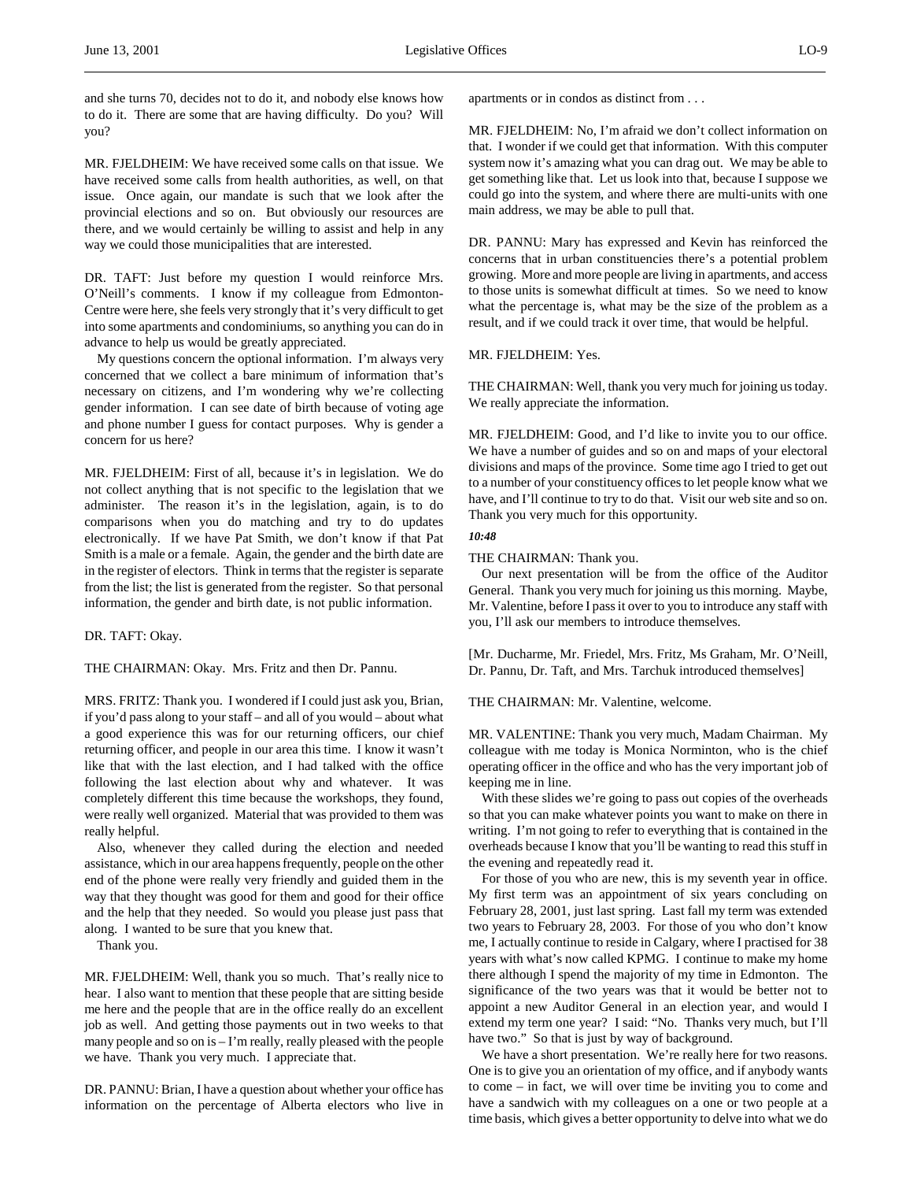and she turns 70, decides not to do it, and nobody else knows how to do it. There are some that are having difficulty. Do you? Will you?

MR. FJELDHEIM: We have received some calls on that issue. We have received some calls from health authorities, as well, on that issue. Once again, our mandate is such that we look after the provincial elections and so on. But obviously our resources are there, and we would certainly be willing to assist and help in any way we could those municipalities that are interested.

DR. TAFT: Just before my question I would reinforce Mrs. O'Neill's comments. I know if my colleague from Edmonton-Centre were here, she feels very strongly that it's very difficult to get into some apartments and condominiums, so anything you can do in advance to help us would be greatly appreciated.

My questions concern the optional information. I'm always very concerned that we collect a bare minimum of information that's necessary on citizens, and I'm wondering why we're collecting gender information. I can see date of birth because of voting age and phone number I guess for contact purposes. Why is gender a concern for us here?

MR. FJELDHEIM: First of all, because it's in legislation. We do not collect anything that is not specific to the legislation that we administer. The reason it's in the legislation, again, is to do comparisons when you do matching and try to do updates electronically. If we have Pat Smith, we don't know if that Pat Smith is a male or a female. Again, the gender and the birth date are in the register of electors. Think in terms that the register is separate from the list; the list is generated from the register. So that personal information, the gender and birth date, is not public information.

DR. TAFT: Okay.

THE CHAIRMAN: Okay. Mrs. Fritz and then Dr. Pannu.

MRS. FRITZ: Thank you. I wondered if I could just ask you, Brian, if you'd pass along to your staff – and all of you would – about what a good experience this was for our returning officers, our chief returning officer, and people in our area this time. I know it wasn't like that with the last election, and I had talked with the office following the last election about why and whatever. It was completely different this time because the workshops, they found, were really well organized. Material that was provided to them was really helpful.

Also, whenever they called during the election and needed assistance, which in our area happens frequently, people on the other end of the phone were really very friendly and guided them in the way that they thought was good for them and good for their office and the help that they needed. So would you please just pass that along. I wanted to be sure that you knew that.

Thank you.

MR. FJELDHEIM: Well, thank you so much. That's really nice to hear. I also want to mention that these people that are sitting beside me here and the people that are in the office really do an excellent job as well. And getting those payments out in two weeks to that many people and so on is – I'm really, really pleased with the people we have. Thank you very much. I appreciate that.

DR. PANNU: Brian, I have a question about whether your office has information on the percentage of Alberta electors who live in apartments or in condos as distinct from . . .

MR. FJELDHEIM: No, I'm afraid we don't collect information on that. I wonder if we could get that information. With this computer system now it's amazing what you can drag out. We may be able to get something like that. Let us look into that, because I suppose we could go into the system, and where there are multi-units with one main address, we may be able to pull that.

DR. PANNU: Mary has expressed and Kevin has reinforced the concerns that in urban constituencies there's a potential problem growing. More and more people are living in apartments, and access to those units is somewhat difficult at times. So we need to know what the percentage is, what may be the size of the problem as a result, and if we could track it over time, that would be helpful.

MR. FJELDHEIM: Yes.

THE CHAIRMAN: Well, thank you very much for joining us today. We really appreciate the information.

MR. FJELDHEIM: Good, and I'd like to invite you to our office. We have a number of guides and so on and maps of your electoral divisions and maps of the province. Some time ago I tried to get out to a number of your constituency offices to let people know what we have, and I'll continue to try to do that. Visit our web site and so on. Thank you very much for this opportunity.

#### *10:48*

THE CHAIRMAN: Thank you.

Our next presentation will be from the office of the Auditor General. Thank you very much for joining us this morning. Maybe, Mr. Valentine, before I pass it over to you to introduce any staff with you, I'll ask our members to introduce themselves.

[Mr. Ducharme, Mr. Friedel, Mrs. Fritz, Ms Graham, Mr. O'Neill, Dr. Pannu, Dr. Taft, and Mrs. Tarchuk introduced themselves]

THE CHAIRMAN: Mr. Valentine, welcome.

MR. VALENTINE: Thank you very much, Madam Chairman. My colleague with me today is Monica Norminton, who is the chief operating officer in the office and who has the very important job of keeping me in line.

With these slides we're going to pass out copies of the overheads so that you can make whatever points you want to make on there in writing. I'm not going to refer to everything that is contained in the overheads because I know that you'll be wanting to read this stuff in the evening and repeatedly read it.

For those of you who are new, this is my seventh year in office. My first term was an appointment of six years concluding on February 28, 2001, just last spring. Last fall my term was extended two years to February 28, 2003. For those of you who don't know me, I actually continue to reside in Calgary, where I practised for 38 years with what's now called KPMG. I continue to make my home there although I spend the majority of my time in Edmonton. The significance of the two years was that it would be better not to appoint a new Auditor General in an election year, and would I extend my term one year? I said: "No. Thanks very much, but I'll have two." So that is just by way of background.

We have a short presentation. We're really here for two reasons. One is to give you an orientation of my office, and if anybody wants to come – in fact, we will over time be inviting you to come and have a sandwich with my colleagues on a one or two people at a time basis, which gives a better opportunity to delve into what we do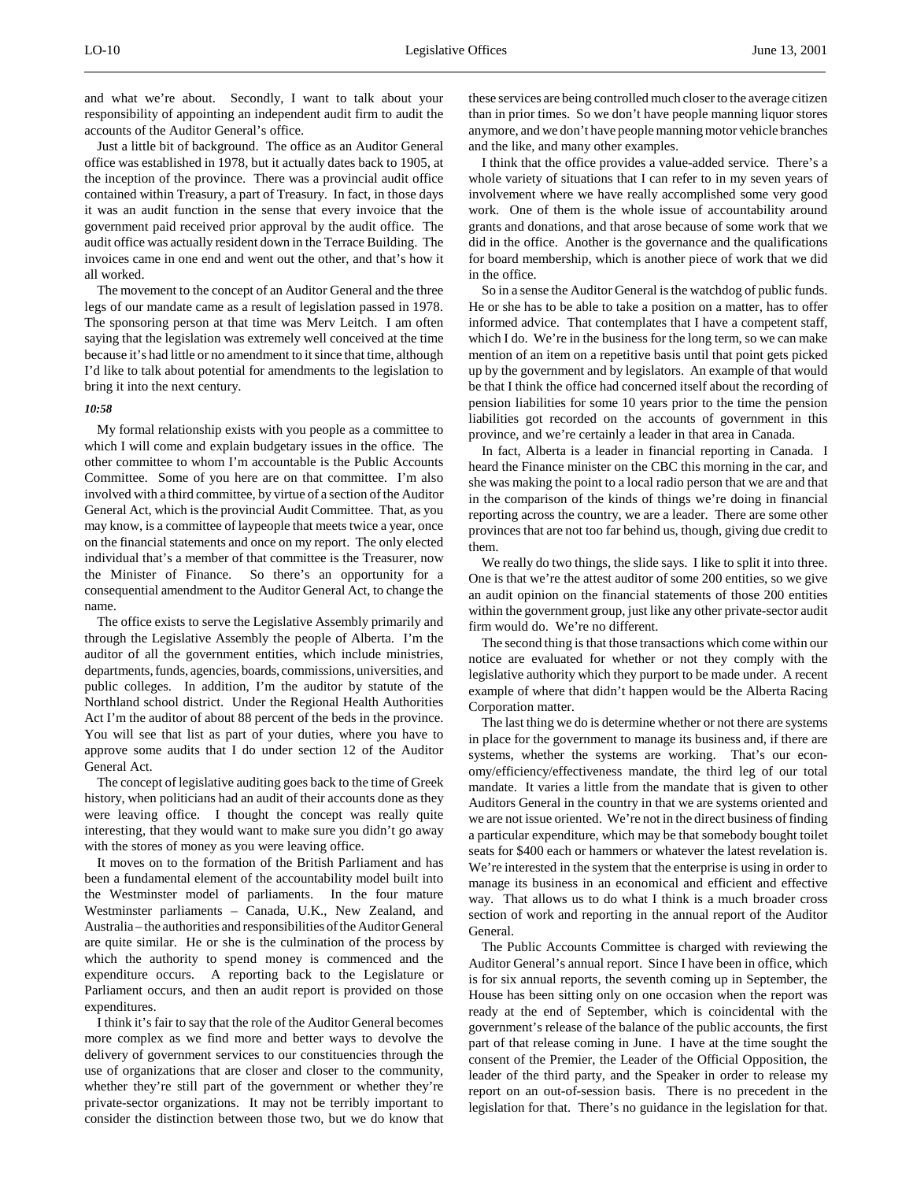and what we're about. Secondly, I want to talk about your responsibility of appointing an independent audit firm to audit the accounts of the Auditor General's office.

Just a little bit of background. The office as an Auditor General office was established in 1978, but it actually dates back to 1905, at the inception of the province. There was a provincial audit office contained within Treasury, a part of Treasury. In fact, in those days it was an audit function in the sense that every invoice that the government paid received prior approval by the audit office. The audit office was actually resident down in the Terrace Building. The invoices came in one end and went out the other, and that's how it all worked.

The movement to the concept of an Auditor General and the three legs of our mandate came as a result of legislation passed in 1978. The sponsoring person at that time was Merv Leitch. I am often saying that the legislation was extremely well conceived at the time because it's had little or no amendment to it since that time, although I'd like to talk about potential for amendments to the legislation to bring it into the next century.

# *10:58*

My formal relationship exists with you people as a committee to which I will come and explain budgetary issues in the office. The other committee to whom I'm accountable is the Public Accounts Committee. Some of you here are on that committee. I'm also involved with a third committee, by virtue of a section of the Auditor General Act, which is the provincial Audit Committee. That, as you may know, is a committee of laypeople that meets twice a year, once on the financial statements and once on my report. The only elected individual that's a member of that committee is the Treasurer, now the Minister of Finance. So there's an opportunity for a consequential amendment to the Auditor General Act, to change the name.

The office exists to serve the Legislative Assembly primarily and through the Legislative Assembly the people of Alberta. I'm the auditor of all the government entities, which include ministries, departments, funds, agencies, boards, commissions, universities, and public colleges. In addition, I'm the auditor by statute of the Northland school district. Under the Regional Health Authorities Act I'm the auditor of about 88 percent of the beds in the province. You will see that list as part of your duties, where you have to approve some audits that I do under section 12 of the Auditor General Act.

The concept of legislative auditing goes back to the time of Greek history, when politicians had an audit of their accounts done as they were leaving office. I thought the concept was really quite interesting, that they would want to make sure you didn't go away with the stores of money as you were leaving office.

It moves on to the formation of the British Parliament and has been a fundamental element of the accountability model built into the Westminster model of parliaments. In the four mature Westminster parliaments – Canada, U.K., New Zealand, and Australia – the authorities and responsibilities of the Auditor General are quite similar. He or she is the culmination of the process by which the authority to spend money is commenced and the expenditure occurs. A reporting back to the Legislature or Parliament occurs, and then an audit report is provided on those expenditures.

I think it's fair to say that the role of the Auditor General becomes more complex as we find more and better ways to devolve the delivery of government services to our constituencies through the use of organizations that are closer and closer to the community, whether they're still part of the government or whether they're private-sector organizations. It may not be terribly important to consider the distinction between those two, but we do know that

these services are being controlled much closer to the average citizen than in prior times. So we don't have people manning liquor stores anymore, and we don't have people manning motor vehicle branches and the like, and many other examples.

I think that the office provides a value-added service. There's a whole variety of situations that I can refer to in my seven years of involvement where we have really accomplished some very good work. One of them is the whole issue of accountability around grants and donations, and that arose because of some work that we did in the office. Another is the governance and the qualifications for board membership, which is another piece of work that we did in the office.

So in a sense the Auditor General is the watchdog of public funds. He or she has to be able to take a position on a matter, has to offer informed advice. That contemplates that I have a competent staff, which I do. We're in the business for the long term, so we can make mention of an item on a repetitive basis until that point gets picked up by the government and by legislators. An example of that would be that I think the office had concerned itself about the recording of pension liabilities for some 10 years prior to the time the pension liabilities got recorded on the accounts of government in this province, and we're certainly a leader in that area in Canada.

In fact, Alberta is a leader in financial reporting in Canada. I heard the Finance minister on the CBC this morning in the car, and she was making the point to a local radio person that we are and that in the comparison of the kinds of things we're doing in financial reporting across the country, we are a leader. There are some other provinces that are not too far behind us, though, giving due credit to them.

We really do two things, the slide says. I like to split it into three. One is that we're the attest auditor of some 200 entities, so we give an audit opinion on the financial statements of those 200 entities within the government group, just like any other private-sector audit firm would do. We're no different.

The second thing is that those transactions which come within our notice are evaluated for whether or not they comply with the legislative authority which they purport to be made under. A recent example of where that didn't happen would be the Alberta Racing Corporation matter.

The last thing we do is determine whether or not there are systems in place for the government to manage its business and, if there are systems, whether the systems are working. That's our economy/efficiency/effectiveness mandate, the third leg of our total mandate. It varies a little from the mandate that is given to other Auditors General in the country in that we are systems oriented and we are not issue oriented. We're not in the direct business of finding a particular expenditure, which may be that somebody bought toilet seats for \$400 each or hammers or whatever the latest revelation is. We're interested in the system that the enterprise is using in order to manage its business in an economical and efficient and effective way. That allows us to do what I think is a much broader cross section of work and reporting in the annual report of the Auditor General.

The Public Accounts Committee is charged with reviewing the Auditor General's annual report. Since I have been in office, which is for six annual reports, the seventh coming up in September, the House has been sitting only on one occasion when the report was ready at the end of September, which is coincidental with the government's release of the balance of the public accounts, the first part of that release coming in June. I have at the time sought the consent of the Premier, the Leader of the Official Opposition, the leader of the third party, and the Speaker in order to release my report on an out-of-session basis. There is no precedent in the legislation for that. There's no guidance in the legislation for that.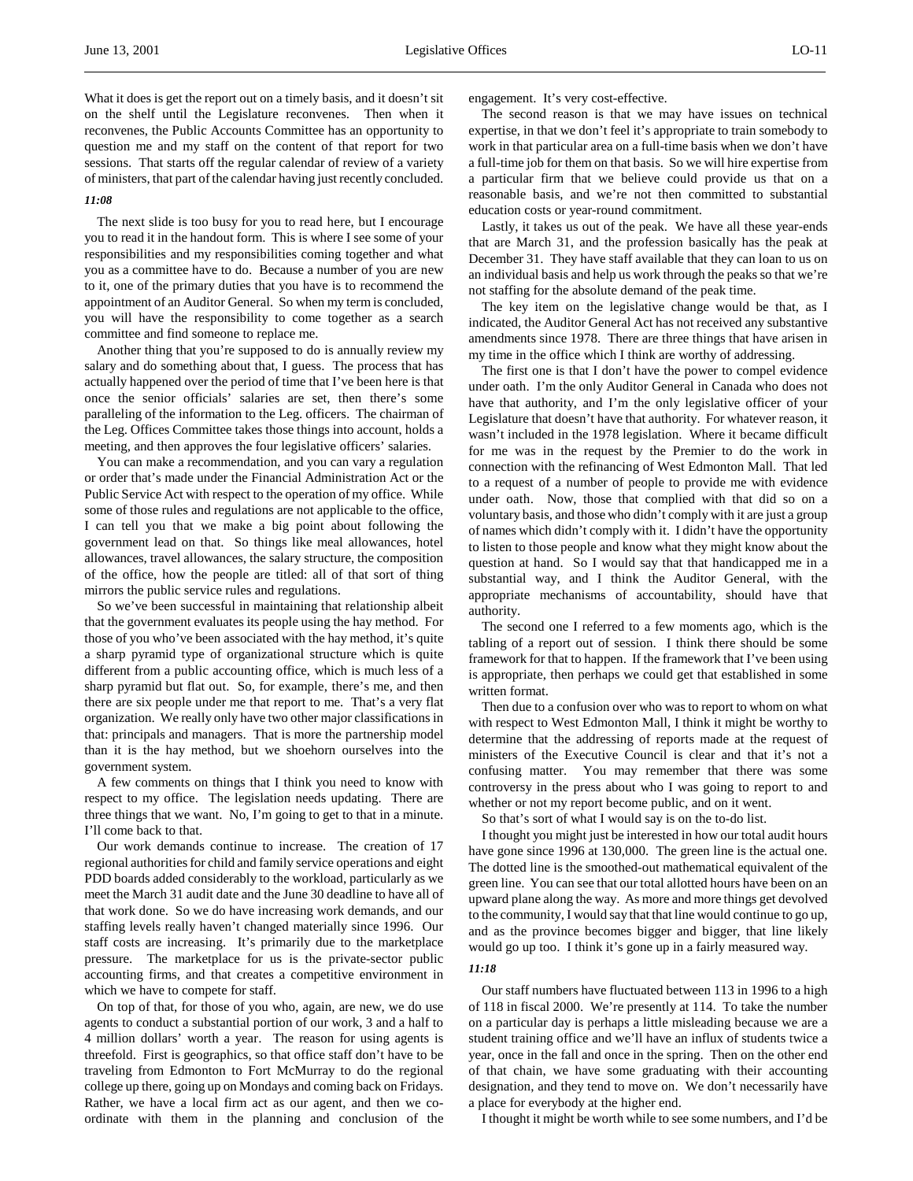What it does is get the report out on a timely basis, and it doesn't sit on the shelf until the Legislature reconvenes. Then when it reconvenes, the Public Accounts Committee has an opportunity to question me and my staff on the content of that report for two sessions. That starts off the regular calendar of review of a variety of ministers, that part of the calendar having just recently concluded.

# *11:08*

֦

The next slide is too busy for you to read here, but I encourage you to read it in the handout form. This is where I see some of your responsibilities and my responsibilities coming together and what you as a committee have to do. Because a number of you are new to it, one of the primary duties that you have is to recommend the appointment of an Auditor General. So when my term is concluded, you will have the responsibility to come together as a search committee and find someone to replace me.

Another thing that you're supposed to do is annually review my salary and do something about that, I guess. The process that has actually happened over the period of time that I've been here is that once the senior officials' salaries are set, then there's some paralleling of the information to the Leg. officers. The chairman of the Leg. Offices Committee takes those things into account, holds a meeting, and then approves the four legislative officers' salaries.

You can make a recommendation, and you can vary a regulation or order that's made under the Financial Administration Act or the Public Service Act with respect to the operation of my office. While some of those rules and regulations are not applicable to the office, I can tell you that we make a big point about following the government lead on that. So things like meal allowances, hotel allowances, travel allowances, the salary structure, the composition of the office, how the people are titled: all of that sort of thing mirrors the public service rules and regulations.

So we've been successful in maintaining that relationship albeit that the government evaluates its people using the hay method. For those of you who've been associated with the hay method, it's quite a sharp pyramid type of organizational structure which is quite different from a public accounting office, which is much less of a sharp pyramid but flat out. So, for example, there's me, and then there are six people under me that report to me. That's a very flat organization. We really only have two other major classifications in that: principals and managers. That is more the partnership model than it is the hay method, but we shoehorn ourselves into the government system.

A few comments on things that I think you need to know with respect to my office. The legislation needs updating. There are three things that we want. No, I'm going to get to that in a minute. I'll come back to that.

Our work demands continue to increase. The creation of 17 regional authorities for child and family service operations and eight PDD boards added considerably to the workload, particularly as we meet the March 31 audit date and the June 30 deadline to have all of that work done. So we do have increasing work demands, and our staffing levels really haven't changed materially since 1996. Our staff costs are increasing. It's primarily due to the marketplace pressure. The marketplace for us is the private-sector public accounting firms, and that creates a competitive environment in which we have to compete for staff.

On top of that, for those of you who, again, are new, we do use agents to conduct a substantial portion of our work, 3 and a half to 4 million dollars' worth a year. The reason for using agents is threefold. First is geographics, so that office staff don't have to be traveling from Edmonton to Fort McMurray to do the regional college up there, going up on Mondays and coming back on Fridays. Rather, we have a local firm act as our agent, and then we coordinate with them in the planning and conclusion of the

engagement. It's very cost-effective.

The second reason is that we may have issues on technical expertise, in that we don't feel it's appropriate to train somebody to work in that particular area on a full-time basis when we don't have a full-time job for them on that basis. So we will hire expertise from a particular firm that we believe could provide us that on a reasonable basis, and we're not then committed to substantial education costs or year-round commitment.

Lastly, it takes us out of the peak. We have all these year-ends that are March 31, and the profession basically has the peak at December 31. They have staff available that they can loan to us on an individual basis and help us work through the peaks so that we're not staffing for the absolute demand of the peak time.

The key item on the legislative change would be that, as I indicated, the Auditor General Act has not received any substantive amendments since 1978. There are three things that have arisen in my time in the office which I think are worthy of addressing.

The first one is that I don't have the power to compel evidence under oath. I'm the only Auditor General in Canada who does not have that authority, and I'm the only legislative officer of your Legislature that doesn't have that authority. For whatever reason, it wasn't included in the 1978 legislation. Where it became difficult for me was in the request by the Premier to do the work in connection with the refinancing of West Edmonton Mall. That led to a request of a number of people to provide me with evidence under oath. Now, those that complied with that did so on a voluntary basis, and those who didn't comply with it are just a group of names which didn't comply with it. I didn't have the opportunity to listen to those people and know what they might know about the question at hand. So I would say that that handicapped me in a substantial way, and I think the Auditor General, with the appropriate mechanisms of accountability, should have that authority.

The second one I referred to a few moments ago, which is the tabling of a report out of session. I think there should be some framework for that to happen. If the framework that I've been using is appropriate, then perhaps we could get that established in some written format.

Then due to a confusion over who was to report to whom on what with respect to West Edmonton Mall, I think it might be worthy to determine that the addressing of reports made at the request of ministers of the Executive Council is clear and that it's not a confusing matter. You may remember that there was some controversy in the press about who I was going to report to and whether or not my report become public, and on it went.

So that's sort of what I would say is on the to-do list.

I thought you might just be interested in how our total audit hours have gone since 1996 at 130,000. The green line is the actual one. The dotted line is the smoothed-out mathematical equivalent of the green line. You can see that our total allotted hours have been on an upward plane along the way. As more and more things get devolved to the community, I would say that that line would continue to go up, and as the province becomes bigger and bigger, that line likely would go up too. I think it's gone up in a fairly measured way.

### *11:18*

Our staff numbers have fluctuated between 113 in 1996 to a high of 118 in fiscal 2000. We're presently at 114. To take the number on a particular day is perhaps a little misleading because we are a student training office and we'll have an influx of students twice a year, once in the fall and once in the spring. Then on the other end of that chain, we have some graduating with their accounting designation, and they tend to move on. We don't necessarily have a place for everybody at the higher end.

I thought it might be worth while to see some numbers, and I'd be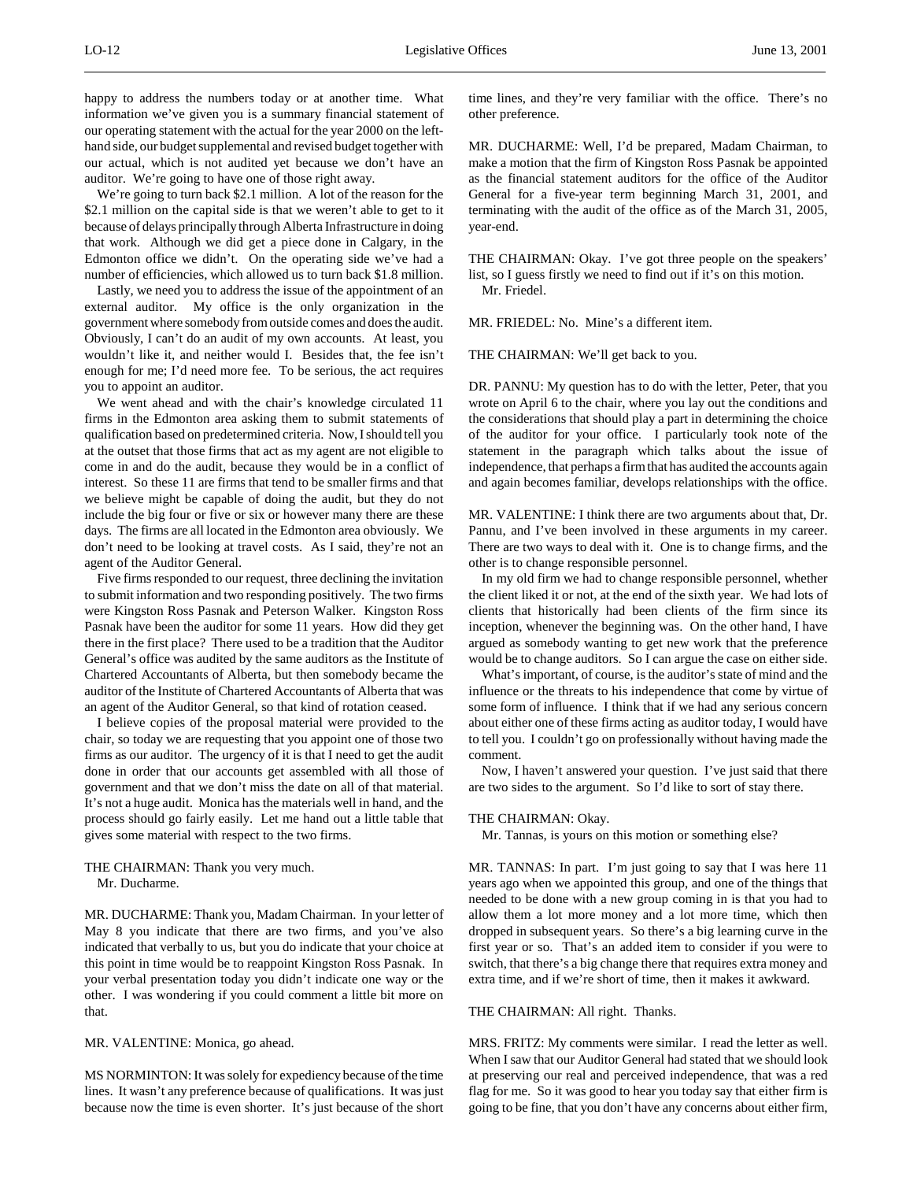happy to address the numbers today or at another time. What information we've given you is a summary financial statement of our operating statement with the actual for the year 2000 on the lefthand side, our budget supplemental and revised budget together with our actual, which is not audited yet because we don't have an auditor. We're going to have one of those right away.

We're going to turn back \$2.1 million. A lot of the reason for the \$2.1 million on the capital side is that we weren't able to get to it because of delays principally through Alberta Infrastructure in doing that work. Although we did get a piece done in Calgary, in the Edmonton office we didn't. On the operating side we've had a number of efficiencies, which allowed us to turn back \$1.8 million.

Lastly, we need you to address the issue of the appointment of an external auditor. My office is the only organization in the government where somebody from outside comes and does the audit. Obviously, I can't do an audit of my own accounts. At least, you wouldn't like it, and neither would I. Besides that, the fee isn't enough for me; I'd need more fee. To be serious, the act requires you to appoint an auditor.

We went ahead and with the chair's knowledge circulated 11 firms in the Edmonton area asking them to submit statements of qualification based on predetermined criteria. Now, I should tell you at the outset that those firms that act as my agent are not eligible to come in and do the audit, because they would be in a conflict of interest. So these 11 are firms that tend to be smaller firms and that we believe might be capable of doing the audit, but they do not include the big four or five or six or however many there are these days. The firms are all located in the Edmonton area obviously. We don't need to be looking at travel costs. As I said, they're not an agent of the Auditor General.

Five firms responded to our request, three declining the invitation to submit information and two responding positively. The two firms were Kingston Ross Pasnak and Peterson Walker. Kingston Ross Pasnak have been the auditor for some 11 years. How did they get there in the first place? There used to be a tradition that the Auditor General's office was audited by the same auditors as the Institute of Chartered Accountants of Alberta, but then somebody became the auditor of the Institute of Chartered Accountants of Alberta that was an agent of the Auditor General, so that kind of rotation ceased.

I believe copies of the proposal material were provided to the chair, so today we are requesting that you appoint one of those two firms as our auditor. The urgency of it is that I need to get the audit done in order that our accounts get assembled with all those of government and that we don't miss the date on all of that material. It's not a huge audit. Monica has the materials well in hand, and the process should go fairly easily. Let me hand out a little table that gives some material with respect to the two firms.

THE CHAIRMAN: Thank you very much. Mr. Ducharme.

MR. DUCHARME: Thank you, Madam Chairman. In your letter of May 8 you indicate that there are two firms, and you've also indicated that verbally to us, but you do indicate that your choice at this point in time would be to reappoint Kingston Ross Pasnak. In your verbal presentation today you didn't indicate one way or the other. I was wondering if you could comment a little bit more on that.

MR. VALENTINE: Monica, go ahead.

MS NORMINTON: It was solely for expediency because of the time lines. It wasn't any preference because of qualifications. It was just because now the time is even shorter. It's just because of the short time lines, and they're very familiar with the office. There's no other preference.

MR. DUCHARME: Well, I'd be prepared, Madam Chairman, to make a motion that the firm of Kingston Ross Pasnak be appointed as the financial statement auditors for the office of the Auditor General for a five-year term beginning March 31, 2001, and terminating with the audit of the office as of the March 31, 2005, year-end.

THE CHAIRMAN: Okay. I've got three people on the speakers' list, so I guess firstly we need to find out if it's on this motion. Mr. Friedel.

MR. FRIEDEL: No. Mine's a different item.

THE CHAIRMAN: We'll get back to you.

DR. PANNU: My question has to do with the letter, Peter, that you wrote on April 6 to the chair, where you lay out the conditions and the considerations that should play a part in determining the choice of the auditor for your office. I particularly took note of the statement in the paragraph which talks about the issue of independence, that perhaps a firm that has audited the accounts again and again becomes familiar, develops relationships with the office.

MR. VALENTINE: I think there are two arguments about that, Dr. Pannu, and I've been involved in these arguments in my career. There are two ways to deal with it. One is to change firms, and the other is to change responsible personnel.

In my old firm we had to change responsible personnel, whether the client liked it or not, at the end of the sixth year. We had lots of clients that historically had been clients of the firm since its inception, whenever the beginning was. On the other hand, I have argued as somebody wanting to get new work that the preference would be to change auditors. So I can argue the case on either side.

What's important, of course, is the auditor's state of mind and the influence or the threats to his independence that come by virtue of some form of influence. I think that if we had any serious concern about either one of these firms acting as auditor today, I would have to tell you. I couldn't go on professionally without having made the comment.

Now, I haven't answered your question. I've just said that there are two sides to the argument. So I'd like to sort of stay there.

#### THE CHAIRMAN: Okay.

Mr. Tannas, is yours on this motion or something else?

MR. TANNAS: In part. I'm just going to say that I was here 11 years ago when we appointed this group, and one of the things that needed to be done with a new group coming in is that you had to allow them a lot more money and a lot more time, which then dropped in subsequent years. So there's a big learning curve in the first year or so. That's an added item to consider if you were to switch, that there's a big change there that requires extra money and extra time, and if we're short of time, then it makes it awkward.

# THE CHAIRMAN: All right. Thanks.

MRS. FRITZ: My comments were similar. I read the letter as well. When I saw that our Auditor General had stated that we should look at preserving our real and perceived independence, that was a red flag for me. So it was good to hear you today say that either firm is going to be fine, that you don't have any concerns about either firm,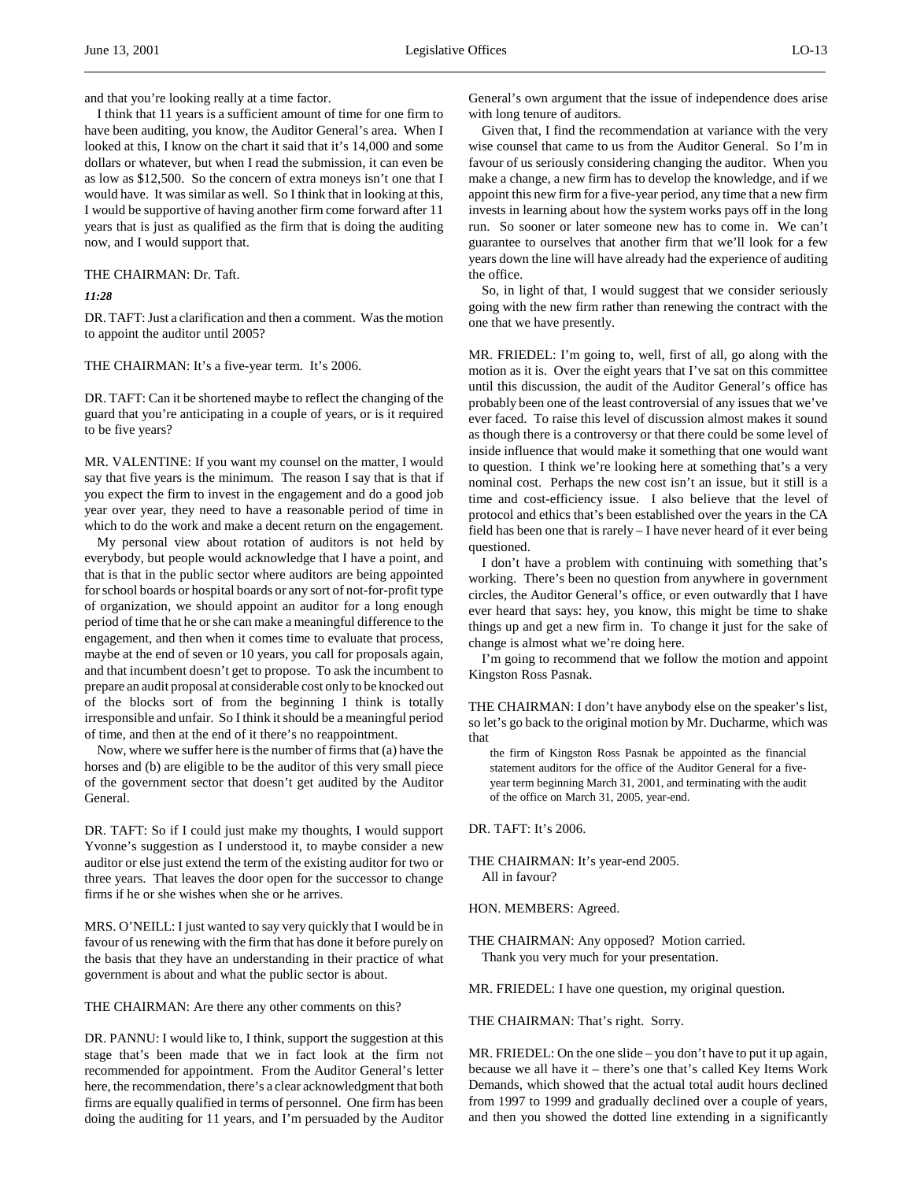and that you're looking really at a time factor.

I think that 11 years is a sufficient amount of time for one firm to have been auditing, you know, the Auditor General's area. When I looked at this, I know on the chart it said that it's 14,000 and some dollars or whatever, but when I read the submission, it can even be as low as \$12,500. So the concern of extra moneys isn't one that I would have. It was similar as well. So I think that in looking at this, I would be supportive of having another firm come forward after 11 years that is just as qualified as the firm that is doing the auditing now, and I would support that.

## THE CHAIRMAN: Dr. Taft.

*11:28*

DR. TAFT: Just a clarification and then a comment. Was the motion to appoint the auditor until 2005?

# THE CHAIRMAN: It's a five-year term. It's 2006.

DR. TAFT: Can it be shortened maybe to reflect the changing of the guard that you're anticipating in a couple of years, or is it required to be five years?

MR. VALENTINE: If you want my counsel on the matter, I would say that five years is the minimum. The reason I say that is that if you expect the firm to invest in the engagement and do a good job year over year, they need to have a reasonable period of time in which to do the work and make a decent return on the engagement.

My personal view about rotation of auditors is not held by everybody, but people would acknowledge that I have a point, and that is that in the public sector where auditors are being appointed for school boards or hospital boards or any sort of not-for-profit type of organization, we should appoint an auditor for a long enough period of time that he or she can make a meaningful difference to the engagement, and then when it comes time to evaluate that process, maybe at the end of seven or 10 years, you call for proposals again, and that incumbent doesn't get to propose. To ask the incumbent to prepare an audit proposal at considerable cost only to be knocked out of the blocks sort of from the beginning I think is totally irresponsible and unfair. So I think it should be a meaningful period of time, and then at the end of it there's no reappointment.

Now, where we suffer here is the number of firms that (a) have the horses and (b) are eligible to be the auditor of this very small piece of the government sector that doesn't get audited by the Auditor General.

DR. TAFT: So if I could just make my thoughts, I would support Yvonne's suggestion as I understood it, to maybe consider a new auditor or else just extend the term of the existing auditor for two or three years. That leaves the door open for the successor to change firms if he or she wishes when she or he arrives.

MRS. O'NEILL: I just wanted to say very quickly that I would be in favour of us renewing with the firm that has done it before purely on the basis that they have an understanding in their practice of what government is about and what the public sector is about.

THE CHAIRMAN: Are there any other comments on this?

DR. PANNU: I would like to, I think, support the suggestion at this stage that's been made that we in fact look at the firm not recommended for appointment. From the Auditor General's letter here, the recommendation, there's a clear acknowledgment that both firms are equally qualified in terms of personnel. One firm has been doing the auditing for 11 years, and I'm persuaded by the Auditor

General's own argument that the issue of independence does arise with long tenure of auditors.

Given that, I find the recommendation at variance with the very wise counsel that came to us from the Auditor General. So I'm in favour of us seriously considering changing the auditor. When you make a change, a new firm has to develop the knowledge, and if we appoint this new firm for a five-year period, any time that a new firm invests in learning about how the system works pays off in the long run. So sooner or later someone new has to come in. We can't guarantee to ourselves that another firm that we'll look for a few years down the line will have already had the experience of auditing the office.

So, in light of that, I would suggest that we consider seriously going with the new firm rather than renewing the contract with the one that we have presently.

MR. FRIEDEL: I'm going to, well, first of all, go along with the motion as it is. Over the eight years that I've sat on this committee until this discussion, the audit of the Auditor General's office has probably been one of the least controversial of any issues that we've ever faced. To raise this level of discussion almost makes it sound as though there is a controversy or that there could be some level of inside influence that would make it something that one would want to question. I think we're looking here at something that's a very nominal cost. Perhaps the new cost isn't an issue, but it still is a time and cost-efficiency issue. I also believe that the level of protocol and ethics that's been established over the years in the CA field has been one that is rarely – I have never heard of it ever being questioned.

I don't have a problem with continuing with something that's working. There's been no question from anywhere in government circles, the Auditor General's office, or even outwardly that I have ever heard that says: hey, you know, this might be time to shake things up and get a new firm in. To change it just for the sake of change is almost what we're doing here.

I'm going to recommend that we follow the motion and appoint Kingston Ross Pasnak.

THE CHAIRMAN: I don't have anybody else on the speaker's list, so let's go back to the original motion by Mr. Ducharme, which was that

the firm of Kingston Ross Pasnak be appointed as the financial statement auditors for the office of the Auditor General for a fiveyear term beginning March 31, 2001, and terminating with the audit of the office on March 31, 2005, year-end.

DR. TAFT: It's 2006.

THE CHAIRMAN: It's year-end 2005. All in favour?

HON. MEMBERS: Agreed.

MR. FRIEDEL: I have one question, my original question.

THE CHAIRMAN: That's right. Sorry.

MR. FRIEDEL: On the one slide – you don't have to put it up again, because we all have it – there's one that's called Key Items Work Demands, which showed that the actual total audit hours declined from 1997 to 1999 and gradually declined over a couple of years, and then you showed the dotted line extending in a significantly

THE CHAIRMAN: Any opposed? Motion carried. Thank you very much for your presentation.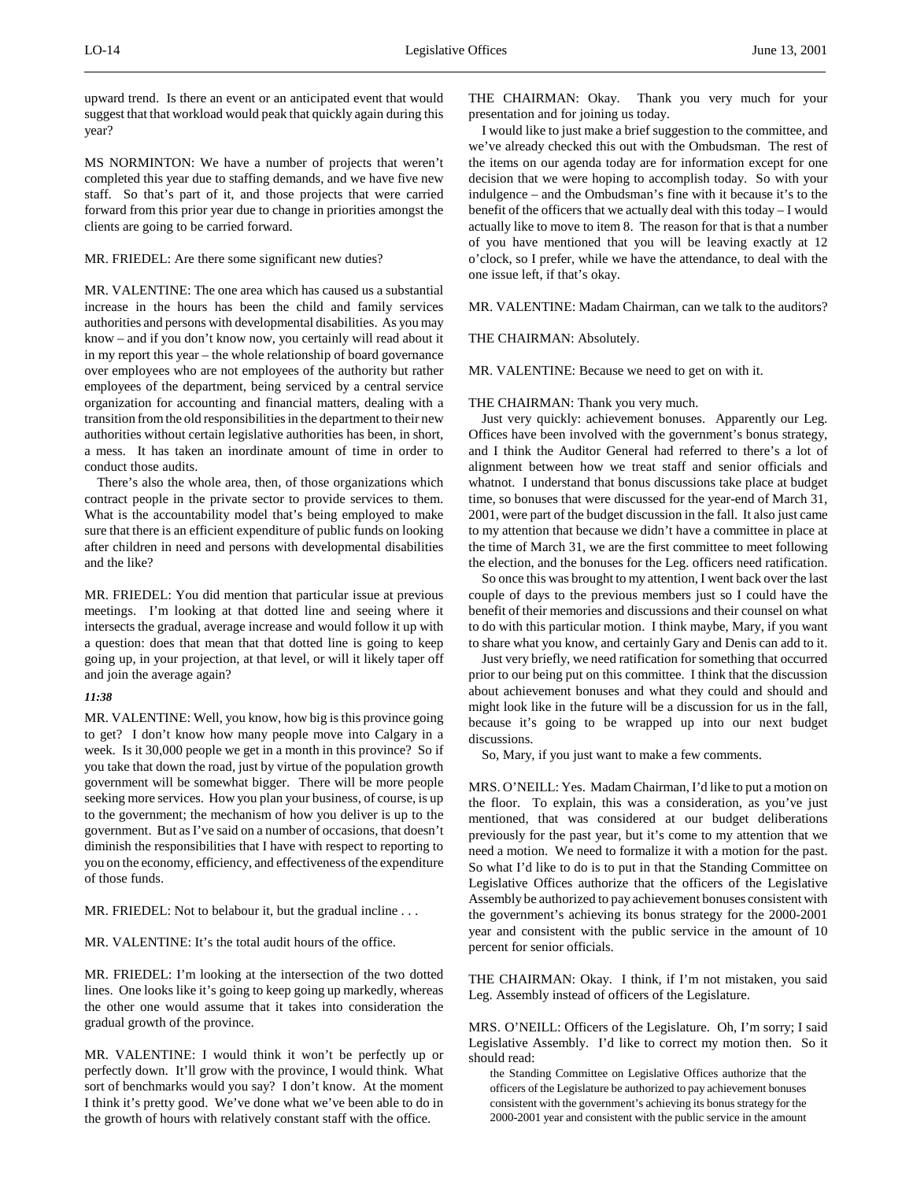upward trend. Is there an event or an anticipated event that would suggest that that workload would peak that quickly again during this year?

MS NORMINTON: We have a number of projects that weren't completed this year due to staffing demands, and we have five new staff. So that's part of it, and those projects that were carried forward from this prior year due to change in priorities amongst the clients are going to be carried forward.

# MR. FRIEDEL: Are there some significant new duties?

MR. VALENTINE: The one area which has caused us a substantial increase in the hours has been the child and family services authorities and persons with developmental disabilities. As you may know – and if you don't know now, you certainly will read about it in my report this year – the whole relationship of board governance over employees who are not employees of the authority but rather employees of the department, being serviced by a central service organization for accounting and financial matters, dealing with a transition from the old responsibilities in the department to their new authorities without certain legislative authorities has been, in short, a mess. It has taken an inordinate amount of time in order to conduct those audits.

There's also the whole area, then, of those organizations which contract people in the private sector to provide services to them. What is the accountability model that's being employed to make sure that there is an efficient expenditure of public funds on looking after children in need and persons with developmental disabilities and the like?

MR. FRIEDEL: You did mention that particular issue at previous meetings. I'm looking at that dotted line and seeing where it intersects the gradual, average increase and would follow it up with a question: does that mean that that dotted line is going to keep going up, in your projection, at that level, or will it likely taper off and join the average again?

### *11:38*

MR. VALENTINE: Well, you know, how big is this province going to get? I don't know how many people move into Calgary in a week. Is it 30,000 people we get in a month in this province? So if you take that down the road, just by virtue of the population growth government will be somewhat bigger. There will be more people seeking more services. How you plan your business, of course, is up to the government; the mechanism of how you deliver is up to the government. But as I've said on a number of occasions, that doesn't diminish the responsibilities that I have with respect to reporting to you on the economy, efficiency, and effectiveness of the expenditure of those funds.

MR. FRIEDEL: Not to belabour it, but the gradual incline . . .

MR. VALENTINE: It's the total audit hours of the office.

MR. FRIEDEL: I'm looking at the intersection of the two dotted lines. One looks like it's going to keep going up markedly, whereas the other one would assume that it takes into consideration the gradual growth of the province.

MR. VALENTINE: I would think it won't be perfectly up or perfectly down. It'll grow with the province, I would think. What sort of benchmarks would you say? I don't know. At the moment I think it's pretty good. We've done what we've been able to do in the growth of hours with relatively constant staff with the office.

THE CHAIRMAN: Okay. Thank you very much for your presentation and for joining us today.

I would like to just make a brief suggestion to the committee, and we've already checked this out with the Ombudsman. The rest of the items on our agenda today are for information except for one decision that we were hoping to accomplish today. So with your indulgence – and the Ombudsman's fine with it because it's to the benefit of the officers that we actually deal with this today – I would actually like to move to item 8. The reason for that is that a number of you have mentioned that you will be leaving exactly at 12 o'clock, so I prefer, while we have the attendance, to deal with the one issue left, if that's okay.

MR. VALENTINE: Madam Chairman, can we talk to the auditors?

### THE CHAIRMAN: Absolutely.

MR. VALENTINE: Because we need to get on with it.

# THE CHAIRMAN: Thank you very much.

Just very quickly: achievement bonuses. Apparently our Leg. Offices have been involved with the government's bonus strategy, and I think the Auditor General had referred to there's a lot of alignment between how we treat staff and senior officials and whatnot. I understand that bonus discussions take place at budget time, so bonuses that were discussed for the year-end of March 31, 2001, were part of the budget discussion in the fall. It also just came to my attention that because we didn't have a committee in place at the time of March 31, we are the first committee to meet following the election, and the bonuses for the Leg. officers need ratification.

So once this was brought to my attention, I went back over the last couple of days to the previous members just so I could have the benefit of their memories and discussions and their counsel on what to do with this particular motion. I think maybe, Mary, if you want to share what you know, and certainly Gary and Denis can add to it.

Just very briefly, we need ratification for something that occurred prior to our being put on this committee. I think that the discussion about achievement bonuses and what they could and should and might look like in the future will be a discussion for us in the fall, because it's going to be wrapped up into our next budget discussions.

So, Mary, if you just want to make a few comments.

MRS. O'NEILL: Yes. Madam Chairman, I'd like to put a motion on the floor. To explain, this was a consideration, as you've just mentioned, that was considered at our budget deliberations previously for the past year, but it's come to my attention that we need a motion. We need to formalize it with a motion for the past. So what I'd like to do is to put in that the Standing Committee on Legislative Offices authorize that the officers of the Legislative Assembly be authorized to pay achievement bonuses consistent with the government's achieving its bonus strategy for the 2000-2001 year and consistent with the public service in the amount of 10 percent for senior officials.

THE CHAIRMAN: Okay. I think, if I'm not mistaken, you said Leg. Assembly instead of officers of the Legislature.

MRS. O'NEILL: Officers of the Legislature. Oh, I'm sorry; I said Legislative Assembly. I'd like to correct my motion then. So it should read:

the Standing Committee on Legislative Offices authorize that the officers of the Legislature be authorized to pay achievement bonuses consistent with the government's achieving its bonus strategy for the 2000-2001 year and consistent with the public service in the amount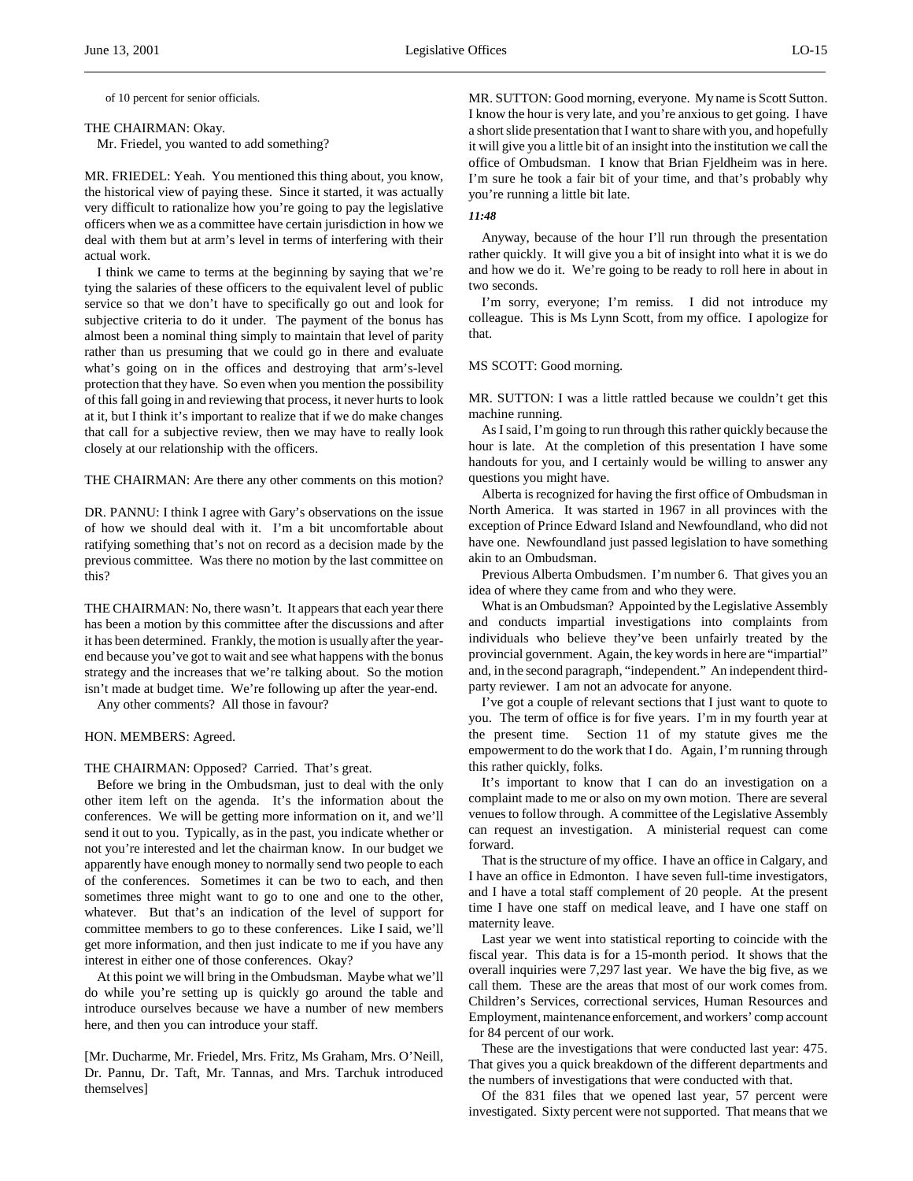of 10 percent for senior officials.

#### THE CHAIRMAN: Okay.

Mr. Friedel, you wanted to add something?

MR. FRIEDEL: Yeah. You mentioned this thing about, you know, the historical view of paying these. Since it started, it was actually very difficult to rationalize how you're going to pay the legislative officers when we as a committee have certain jurisdiction in how we deal with them but at arm's level in terms of interfering with their actual work.

I think we came to terms at the beginning by saying that we're tying the salaries of these officers to the equivalent level of public service so that we don't have to specifically go out and look for subjective criteria to do it under. The payment of the bonus has almost been a nominal thing simply to maintain that level of parity rather than us presuming that we could go in there and evaluate what's going on in the offices and destroying that arm's-level protection that they have. So even when you mention the possibility of this fall going in and reviewing that process, it never hurts to look at it, but I think it's important to realize that if we do make changes that call for a subjective review, then we may have to really look closely at our relationship with the officers.

THE CHAIRMAN: Are there any other comments on this motion?

DR. PANNU: I think I agree with Gary's observations on the issue of how we should deal with it. I'm a bit uncomfortable about ratifying something that's not on record as a decision made by the previous committee. Was there no motion by the last committee on this?

THE CHAIRMAN: No, there wasn't. It appears that each year there has been a motion by this committee after the discussions and after it has been determined. Frankly, the motion is usually after the yearend because you've got to wait and see what happens with the bonus strategy and the increases that we're talking about. So the motion isn't made at budget time. We're following up after the year-end.

Any other comments? All those in favour?

HON. MEMBERS: Agreed.

THE CHAIRMAN: Opposed? Carried. That's great.

Before we bring in the Ombudsman, just to deal with the only other item left on the agenda. It's the information about the conferences. We will be getting more information on it, and we'll send it out to you. Typically, as in the past, you indicate whether or not you're interested and let the chairman know. In our budget we apparently have enough money to normally send two people to each of the conferences. Sometimes it can be two to each, and then sometimes three might want to go to one and one to the other, whatever. But that's an indication of the level of support for committee members to go to these conferences. Like I said, we'll get more information, and then just indicate to me if you have any interest in either one of those conferences. Okay?

At this point we will bring in the Ombudsman. Maybe what we'll do while you're setting up is quickly go around the table and introduce ourselves because we have a number of new members here, and then you can introduce your staff.

[Mr. Ducharme, Mr. Friedel, Mrs. Fritz, Ms Graham, Mrs. O'Neill, Dr. Pannu, Dr. Taft, Mr. Tannas, and Mrs. Tarchuk introduced themselves]

MR. SUTTON: Good morning, everyone. My name is Scott Sutton. I know the hour is very late, and you're anxious to get going. I have a short slide presentation that I want to share with you, and hopefully it will give you a little bit of an insight into the institution we call the office of Ombudsman. I know that Brian Fjeldheim was in here. I'm sure he took a fair bit of your time, and that's probably why you're running a little bit late.

### *11:48*

Anyway, because of the hour I'll run through the presentation rather quickly. It will give you a bit of insight into what it is we do and how we do it. We're going to be ready to roll here in about in two seconds.

I'm sorry, everyone; I'm remiss. I did not introduce my colleague. This is Ms Lynn Scott, from my office. I apologize for that.

# MS SCOTT: Good morning.

MR. SUTTON: I was a little rattled because we couldn't get this machine running.

As I said, I'm going to run through this rather quickly because the hour is late. At the completion of this presentation I have some handouts for you, and I certainly would be willing to answer any questions you might have.

Alberta is recognized for having the first office of Ombudsman in North America. It was started in 1967 in all provinces with the exception of Prince Edward Island and Newfoundland, who did not have one. Newfoundland just passed legislation to have something akin to an Ombudsman.

Previous Alberta Ombudsmen. I'm number 6. That gives you an idea of where they came from and who they were.

What is an Ombudsman? Appointed by the Legislative Assembly and conducts impartial investigations into complaints from individuals who believe they've been unfairly treated by the provincial government. Again, the key words in here are "impartial" and, in the second paragraph, "independent." An independent thirdparty reviewer. I am not an advocate for anyone.

I've got a couple of relevant sections that I just want to quote to you. The term of office is for five years. I'm in my fourth year at the present time. Section 11 of my statute gives me the empowerment to do the work that I do. Again, I'm running through this rather quickly, folks.

It's important to know that I can do an investigation on a complaint made to me or also on my own motion. There are several venues to follow through. A committee of the Legislative Assembly can request an investigation. A ministerial request can come forward.

That is the structure of my office. I have an office in Calgary, and I have an office in Edmonton. I have seven full-time investigators, and I have a total staff complement of 20 people. At the present time I have one staff on medical leave, and I have one staff on maternity leave.

Last year we went into statistical reporting to coincide with the fiscal year. This data is for a 15-month period. It shows that the overall inquiries were 7,297 last year. We have the big five, as we call them. These are the areas that most of our work comes from. Children's Services, correctional services, Human Resources and Employment, maintenance enforcement, and workers' comp account for 84 percent of our work.

These are the investigations that were conducted last year: 475. That gives you a quick breakdown of the different departments and the numbers of investigations that were conducted with that.

Of the 831 files that we opened last year, 57 percent were investigated. Sixty percent were not supported. That means that we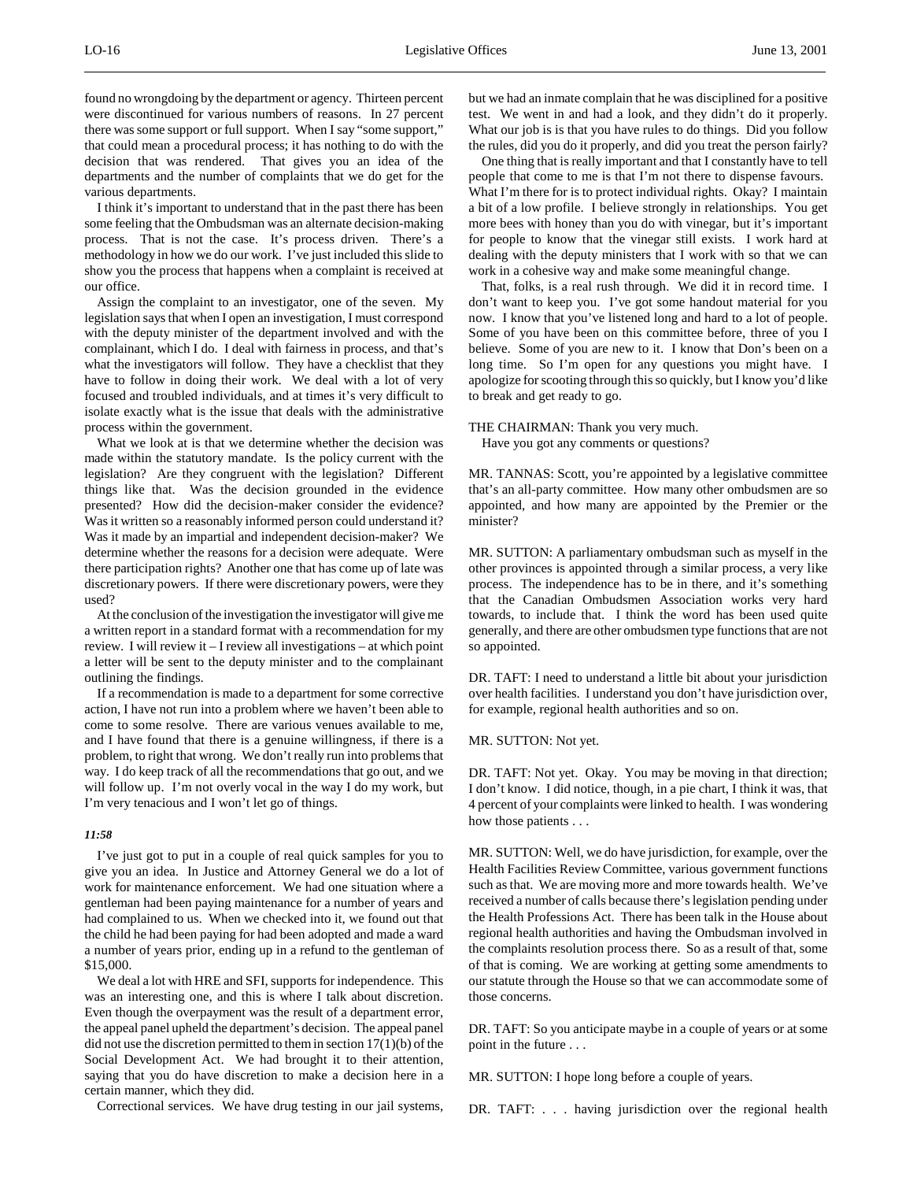found no wrongdoing by the department or agency. Thirteen percent were discontinued for various numbers of reasons. In 27 percent there was some support or full support. When I say "some support," that could mean a procedural process; it has nothing to do with the decision that was rendered. That gives you an idea of the departments and the number of complaints that we do get for the various departments.

I think it's important to understand that in the past there has been some feeling that the Ombudsman was an alternate decision-making process. That is not the case. It's process driven. There's a methodology in how we do our work. I've just included this slide to show you the process that happens when a complaint is received at our office.

Assign the complaint to an investigator, one of the seven. My legislation says that when I open an investigation, I must correspond with the deputy minister of the department involved and with the complainant, which I do. I deal with fairness in process, and that's what the investigators will follow. They have a checklist that they have to follow in doing their work. We deal with a lot of very focused and troubled individuals, and at times it's very difficult to isolate exactly what is the issue that deals with the administrative process within the government.

What we look at is that we determine whether the decision was made within the statutory mandate. Is the policy current with the legislation? Are they congruent with the legislation? Different things like that. Was the decision grounded in the evidence presented? How did the decision-maker consider the evidence? Was it written so a reasonably informed person could understand it? Was it made by an impartial and independent decision-maker? We determine whether the reasons for a decision were adequate. Were there participation rights? Another one that has come up of late was discretionary powers. If there were discretionary powers, were they used?

At the conclusion of the investigation the investigator will give me a written report in a standard format with a recommendation for my review. I will review it – I review all investigations – at which point a letter will be sent to the deputy minister and to the complainant outlining the findings.

If a recommendation is made to a department for some corrective action, I have not run into a problem where we haven't been able to come to some resolve. There are various venues available to me, and I have found that there is a genuine willingness, if there is a problem, to right that wrong. We don't really run into problems that way. I do keep track of all the recommendations that go out, and we will follow up. I'm not overly vocal in the way I do my work, but I'm very tenacious and I won't let go of things.

# *11:58*

I've just got to put in a couple of real quick samples for you to give you an idea. In Justice and Attorney General we do a lot of work for maintenance enforcement. We had one situation where a gentleman had been paying maintenance for a number of years and had complained to us. When we checked into it, we found out that the child he had been paying for had been adopted and made a ward a number of years prior, ending up in a refund to the gentleman of \$15,000.

We deal a lot with HRE and SFI, supports for independence. This was an interesting one, and this is where I talk about discretion. Even though the overpayment was the result of a department error, the appeal panel upheld the department's decision. The appeal panel did not use the discretion permitted to them in section 17(1)(b) of the Social Development Act. We had brought it to their attention, saying that you do have discretion to make a decision here in a certain manner, which they did.

Correctional services. We have drug testing in our jail systems,

but we had an inmate complain that he was disciplined for a positive test. We went in and had a look, and they didn't do it properly. What our job is is that you have rules to do things. Did you follow the rules, did you do it properly, and did you treat the person fairly?

One thing that is really important and that I constantly have to tell people that come to me is that I'm not there to dispense favours. What I'm there for is to protect individual rights. Okay? I maintain a bit of a low profile. I believe strongly in relationships. You get more bees with honey than you do with vinegar, but it's important for people to know that the vinegar still exists. I work hard at dealing with the deputy ministers that I work with so that we can work in a cohesive way and make some meaningful change.

That, folks, is a real rush through. We did it in record time. I don't want to keep you. I've got some handout material for you now. I know that you've listened long and hard to a lot of people. Some of you have been on this committee before, three of you I believe. Some of you are new to it. I know that Don's been on a long time. So I'm open for any questions you might have. I apologize for scooting through this so quickly, but I know you'd like to break and get ready to go.

THE CHAIRMAN: Thank you very much. Have you got any comments or questions?

MR. TANNAS: Scott, you're appointed by a legislative committee that's an all-party committee. How many other ombudsmen are so appointed, and how many are appointed by the Premier or the minister?

MR. SUTTON: A parliamentary ombudsman such as myself in the other provinces is appointed through a similar process, a very like process. The independence has to be in there, and it's something that the Canadian Ombudsmen Association works very hard towards, to include that. I think the word has been used quite generally, and there are other ombudsmen type functions that are not so appointed.

DR. TAFT: I need to understand a little bit about your jurisdiction over health facilities. I understand you don't have jurisdiction over, for example, regional health authorities and so on.

MR. SUTTON: Not yet.

DR. TAFT: Not yet. Okay. You may be moving in that direction; I don't know. I did notice, though, in a pie chart, I think it was, that 4 percent of your complaints were linked to health. I was wondering how those patients . . .

MR. SUTTON: Well, we do have jurisdiction, for example, over the Health Facilities Review Committee, various government functions such as that. We are moving more and more towards health. We've received a number of calls because there's legislation pending under the Health Professions Act. There has been talk in the House about regional health authorities and having the Ombudsman involved in the complaints resolution process there. So as a result of that, some of that is coming. We are working at getting some amendments to our statute through the House so that we can accommodate some of those concerns.

DR. TAFT: So you anticipate maybe in a couple of years or at some point in the future . . .

MR. SUTTON: I hope long before a couple of years.

DR. TAFT: . . . having jurisdiction over the regional health